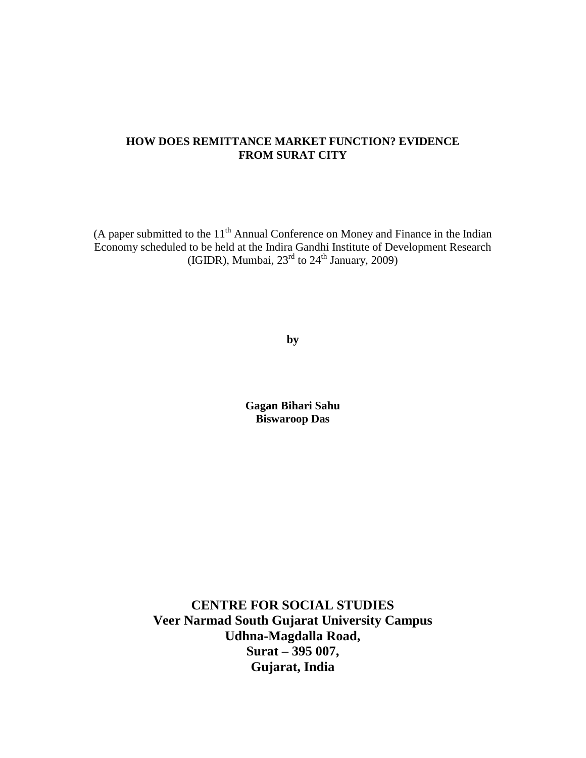### **HOW DOES REMITTANCE MARKET FUNCTION? EVIDENCE FROM SURAT CITY**

(A paper submitted to the  $11<sup>th</sup>$  Annual Conference on Money and Finance in the Indian Economy scheduled to be held at the Indira Gandhi Institute of Development Research (IGIDR), Mumbai,  $23<sup>rd</sup>$  to  $24<sup>th</sup>$  January, 2009)

**by**

**Gagan Bihari Sahu Biswaroop Das**

**CENTRE FOR SOCIAL STUDIES Veer Narmad South Gujarat University Campus Udhna-Magdalla Road, Surat – 395 007, Gujarat, India**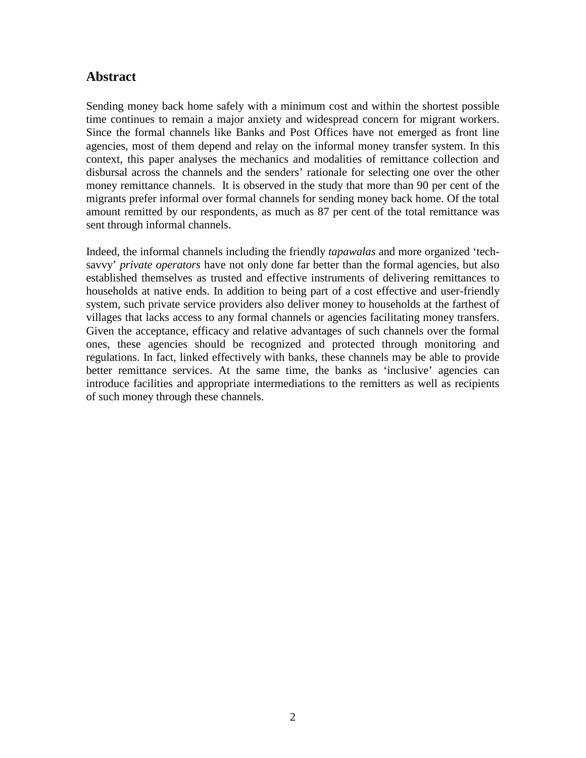## **Abstract**

Sending money back home safely with a minimum cost and within the shortest possible time continues to remain a major anxiety and widespread concern for migrant workers. Since the formal channels like Banks and Post Offices have not emerged as front line agencies, most of them depend and relay on the informal money transfer system. In this context, this paper analyses the mechanics and modalities of remittance collection and disbursal across the channels and the senders' rationale for selecting one over the other money remittance channels. It is observed in the study that more than 90 per cent of the migrants prefer informal over formal channels for sending money back home. Of the total amount remitted by our respondents, as much as 87 per cent of the total remittance was sent through informal channels.

Indeed, the informal channels including the friendly *tapawalas* and more organized 'techsavvy' *private operators* have not only done far better than the formal agencies, but also established themselves as trusted and effective instruments of delivering remittances to households at native ends. In addition to being part of a cost effective and user-friendly system, such private service providers also deliver money to households at the farthest of villages that lacks access to any formal channels or agencies facilitating money transfers. Given the acceptance, efficacy and relative advantages of such channels over the formal ones, these agencies should be recognized and protected through monitoring and regulations. In fact, linked effectively with banks, these channels may be able to provide better remittance services. At the same time, the banks as 'inclusive' agencies can introduce facilities and appropriate intermediations to the remitters as well as recipients of such money through these channels.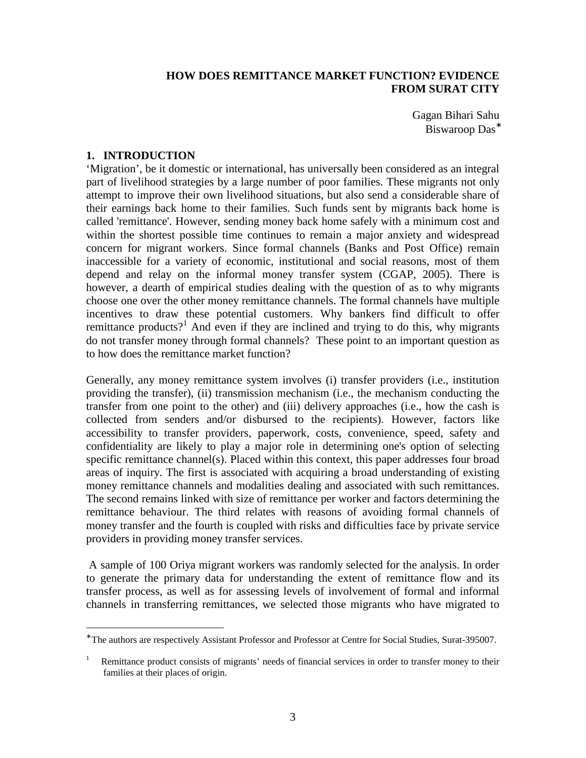### **HOW DOES REMITTANCE MARKET FUNCTION? EVIDENCE FROM SURAT CITY**

Gagan Bihari Sahu Biswaroop Das<sup>\*</sup>

#### **1. INTRODUCTION**

 $\overline{a}$ 

'Migration', be it domestic or international, has universally been considered as an integral part of livelihood strategies by a large number of poor families. These migrants not only attempt to improve their own livelihood situations, but also send a considerable share of their earnings back home to their families. Such funds sent by migrants back home is called 'remittance'. However, sending money back home safely with a minimum cost and within the shortest possible time continues to remain a major anxiety and widespread concern for migrant workers. Since formal channels (Banks and Post Office) remain inaccessible for a variety of economic, institutional and social reasons, most of them depend and relay on the informal money transfer system (CGAP, 2005). There is however, a dearth of empirical studies dealing with the question of as to why migrants choose one over the other money remittance channels. The formal channels have multiple incentives to draw these potential customers. Why bankers find difficult to offer remittance products?<sup>1</sup> And even if they are inclined and trying to do this, why migrants do not transfer money through formal channels? These point to an important question as to how does the remittance market function?

Generally, any money remittance system involves (i) transfer providers (i.e., institution providing the transfer), (ii) transmission mechanism (i.e., the mechanism conducting the transfer from one point to the other) and (iii) delivery approaches (i.e., how the cash is collected from senders and/or disbursed to the recipients). However, factors like accessibility to transfer providers, paperwork, costs, convenience, speed, safety and confidentiality are likely to play a major role in determining one's option of selecting specific remittance channel(s). Placed within this context, this paper addresses four broad areas of inquiry. The first is associated with acquiring a broad understanding of existing money remittance channels and modalities dealing and associated with such remittances. The second remains linked with size of remittance per worker and factors determining the remittance behaviour. The third relates with reasons of avoiding formal channels of money transfer and the fourth is coupled with risks and difficulties face by private service providers in providing money transfer services.

A sample of 100 Oriya migrant workers was randomly selected for the analysis. In order to generate the primary data for understanding the extent of remittance flow and its transfer process, as well as for assessing levels of involvement of formal and informal channels in transferring remittances, we selected those migrants who have migrated to

<sup>∗</sup> The authors are respectively Assistant Professor and Professor at Centre for Social Studies, Surat-395007.

<sup>1</sup> Remittance product consists of migrants' needs of financial services in order to transfer money to their families at their places of origin.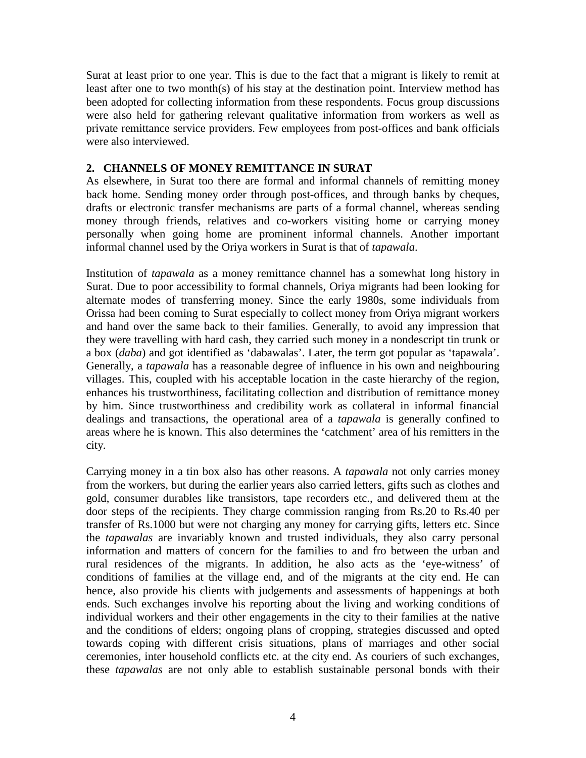Surat at least prior to one year. This is due to the fact that a migrant is likely to remit at least after one to two month(s) of his stay at the destination point. Interview method has been adopted for collecting information from these respondents. Focus group discussions were also held for gathering relevant qualitative information from workers as well as private remittance service providers. Few employees from post-offices and bank officials were also interviewed.

#### **2. CHANNELS OF MONEY REMITTANCE IN SURAT**

As elsewhere, in Surat too there are formal and informal channels of remitting money back home. Sending money order through post-offices, and through banks by cheques, drafts or electronic transfer mechanisms are parts of a formal channel, whereas sending money through friends, relatives and co-workers visiting home or carrying money personally when going home are prominent informal channels. Another important informal channel used by the Oriya workers in Surat is that of *tapawala*.

Institution of *tapawala* as a money remittance channel has a somewhat long history in Surat. Due to poor accessibility to formal channels, Oriya migrants had been looking for alternate modes of transferring money. Since the early 1980s, some individuals from Orissa had been coming to Surat especially to collect money from Oriya migrant workers and hand over the same back to their families. Generally, to avoid any impression that they were travelling with hard cash, they carried such money in a nondescript tin trunk or a box (*daba*) and got identified as 'dabawalas'. Later, the term got popular as 'tapawala'. Generally, a *tapawala* has a reasonable degree of influence in his own and neighbouring villages. This, coupled with his acceptable location in the caste hierarchy of the region, enhances his trustworthiness, facilitating collection and distribution of remittance money by him. Since trustworthiness and credibility work as collateral in informal financial dealings and transactions, the operational area of a *tapawala* is generally confined to areas where he is known. This also determines the 'catchment' area of his remitters in the city.

Carrying money in a tin box also has other reasons. A *tapawala* not only carries money from the workers, but during the earlier years also carried letters, gifts such as clothes and gold, consumer durables like transistors, tape recorders etc., and delivered them at the door steps of the recipients. They charge commission ranging from Rs.20 to Rs.40 per transfer of Rs.1000 but were not charging any money for carrying gifts, letters etc. Since the *tapawalas* are invariably known and trusted individuals, they also carry personal information and matters of concern for the families to and fro between the urban and rural residences of the migrants. In addition, he also acts as the 'eye-witness' of conditions of families at the village end, and of the migrants at the city end. He can hence, also provide his clients with judgements and assessments of happenings at both ends. Such exchanges involve his reporting about the living and working conditions of individual workers and their other engagements in the city to their families at the native and the conditions of elders; ongoing plans of cropping, strategies discussed and opted towards coping with different crisis situations, plans of marriages and other social ceremonies, inter household conflicts etc. at the city end. As couriers of such exchanges, these *tapawalas* are not only able to establish sustainable personal bonds with their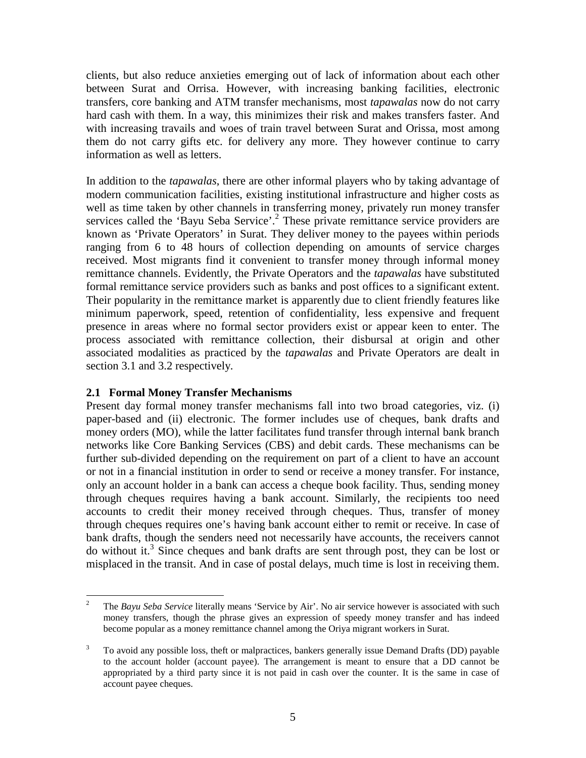clients, but also reduce anxieties emerging out of lack of information about each other between Surat and Orrisa. However, with increasing banking facilities, electronic transfers, core banking and ATM transfer mechanisms, most *tapawalas* now do not carry hard cash with them. In a way, this minimizes their risk and makes transfers faster. And with increasing travails and woes of train travel between Surat and Orissa, most among them do not carry gifts etc. for delivery any more. They however continue to carry information as well as letters.

In addition to the *tapawalas*, there are other informal players who by taking advantage of modern communication facilities, existing institutional infrastructure and higher costs as well as time taken by other channels in transferring money, privately run money transfer services called the 'Bayu Seba Service'.<sup>2</sup> These private remittance service providers are known as 'Private Operators' in Surat. They deliver money to the payees within periods ranging from 6 to 48 hours of collection depending on amounts of service charges received. Most migrants find it convenient to transfer money through informal money remittance channels. Evidently, the Private Operators and the *tapawalas* have substituted formal remittance service providers such as banks and post offices to a significant extent. Their popularity in the remittance market is apparently due to client friendly features like minimum paperwork, speed, retention of confidentiality, less expensive and frequent presence in areas where no formal sector providers exist or appear keen to enter. The process associated with remittance collection, their disbursal at origin and other associated modalities as practiced by the *tapawalas* and Private Operators are dealt in section 3.1 and 3.2 respectively.

#### **2.1 Formal Money Transfer Mechanisms**

Present day formal money transfer mechanisms fall into two broad categories, viz. (i) paper-based and (ii) electronic. The former includes use of cheques, bank drafts and money orders (MO), while the latter facilitates fund transfer through internal bank branch networks like Core Banking Services (CBS) and debit cards. These mechanisms can be further sub-divided depending on the requirement on part of a client to have an account or not in a financial institution in order to send or receive a money transfer. For instance, only an account holder in a bank can access a cheque book facility. Thus, sending money through cheques requires having a bank account. Similarly, the recipients too need accounts to credit their money received through cheques. Thus, transfer of money through cheques requires one's having bank account either to remit or receive. In case of bank drafts, though the senders need not necessarily have accounts, the receivers cannot do without it.<sup>3</sup> Since cheques and bank drafts are sent through post, they can be lost or misplaced in the transit. And in case of postal delays, much time is lost in receiving them.

 $\frac{1}{2}$ The *Bayu Seba Service* literally means 'Service by Air'. No air service however is associated with such money transfers, though the phrase gives an expression of speedy money transfer and has indeed become popular as a money remittance channel among the Oriya migrant workers in Surat.

<sup>3</sup> To avoid any possible loss, theft or malpractices, bankers generally issue Demand Drafts (DD) payable to the account holder (account payee). The arrangement is meant to ensure that a DD cannot be appropriated by a third party since it is not paid in cash over the counter. It is the same in case of account payee cheques.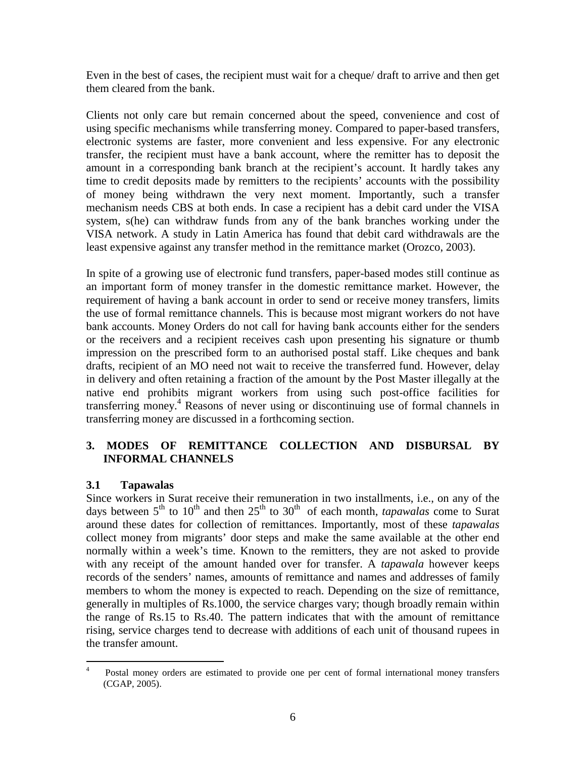Even in the best of cases, the recipient must wait for a cheque/ draft to arrive and then get them cleared from the bank.

Clients not only care but remain concerned about the speed, convenience and cost of using specific mechanisms while transferring money. Compared to paper-based transfers, electronic systems are faster, more convenient and less expensive. For any electronic transfer, the recipient must have a bank account, where the remitter has to deposit the amount in a corresponding bank branch at the recipient's account. It hardly takes any time to credit deposits made by remitters to the recipients' accounts with the possibility of money being withdrawn the very next moment. Importantly, such a transfer mechanism needs CBS at both ends. In case a recipient has a debit card under the VISA system, s(he) can withdraw funds from any of the bank branches working under the VISA network. A study in Latin America has found that debit card withdrawals are the least expensive against any transfer method in the remittance market (Orozco, 2003).

In spite of a growing use of electronic fund transfers, paper-based modes still continue as an important form of money transfer in the domestic remittance market. However, the requirement of having a bank account in order to send or receive money transfers, limits the use of formal remittance channels. This is because most migrant workers do not have bank accounts. Money Orders do not call for having bank accounts either for the senders or the receivers and a recipient receives cash upon presenting his signature or thumb impression on the prescribed form to an authorised postal staff. Like cheques and bank drafts, recipient of an MO need not wait to receive the transferred fund. However, delay in delivery and often retaining a fraction of the amount by the Post Master illegally at the native end prohibits migrant workers from using such post-office facilities for transferring money. <sup>4</sup> Reasons of never using or discontinuing use of formal channels in transferring money are discussed in a forthcoming section.

### **3. MODES OF REMITTANCE COLLECTION AND DISBURSAL BY INFORMAL CHANNELS**

### **3.1 Tapawalas**

Since workers in Surat receive their remuneration in two installments, i.e., on any of the days between  $5<sup>th</sup>$  to  $10<sup>th</sup>$  and then  $25<sup>th</sup>$  to  $30<sup>th</sup>$  of each month, *tapawalas* come to Surat around these dates for collection of remittances. Importantly, most of these *tapawalas* collect money from migrants' door steps and make the same available at the other end normally within a week's time. Known to the remitters, they are not asked to provide with any receipt of the amount handed over for transfer. A *tapawala* however keeps records of the senders' names, amounts of remittance and names and addresses of family members to whom the money is expected to reach. Depending on the size of remittance, generally in multiples of Rs.1000, the service charges vary; though broadly remain within the range of Rs.15 to Rs.40. The pattern indicates that with the amount of remittance rising, service charges tend to decrease with additions of each unit of thousand rupees in the transfer amount.

 $\frac{1}{4}$  Postal money orders are estimated to provide one per cent of formal international money transfers (CGAP, 2005).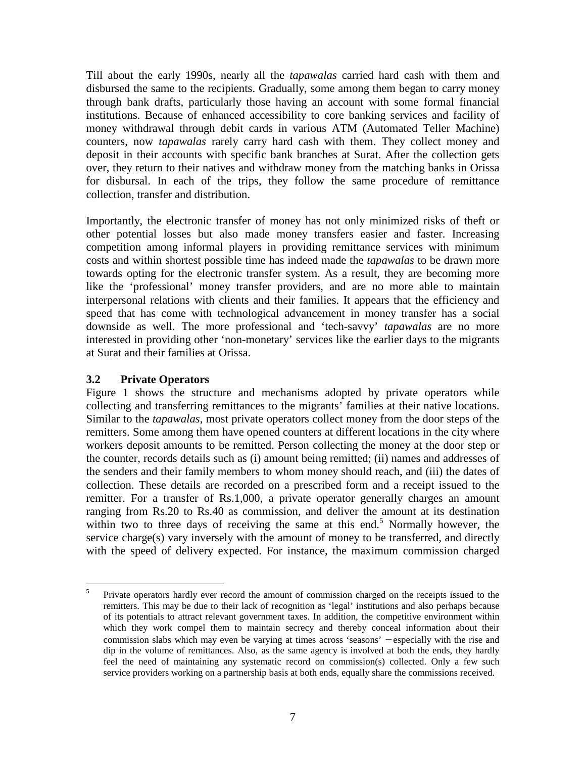Till about the early 1990s, nearly all the *tapawalas* carried hard cash with them and disbursed the same to the recipients. Gradually, some among them began to carry money through bank drafts, particularly those having an account with some formal financial institutions. Because of enhanced accessibility to core banking services and facility of money withdrawal through debit cards in various ATM (Automated Teller Machine) counters, now *tapawalas* rarely carry hard cash with them. They collect money and deposit in their accounts with specific bank branches at Surat. After the collection gets over, they return to their natives and withdraw money from the matching banks in Orissa for disbursal. In each of the trips, they follow the same procedure of remittance collection, transfer and distribution.

Importantly, the electronic transfer of money has not only minimized risks of theft or other potential losses but also made money transfers easier and faster. Increasing competition among informal players in providing remittance services with minimum costs and within shortest possible time has indeed made the *tapawalas* to be drawn more towards opting for the electronic transfer system. As a result, they are becoming more like the 'professional' money transfer providers, and are no more able to maintain interpersonal relations with clients and their families. It appears that the efficiency and speed that has come with technological advancement in money transfer has a social downside as well. The more professional and 'tech-savvy' *tapawalas* are no more interested in providing other 'non-monetary' services like the earlier days to the migrants at Surat and their families at Orissa.

#### **3.2 Private Operators**

Figure 1 shows the structure and mechanisms adopted by private operators while collecting and transferring remittances to the migrants' families at their native locations. Similar to the *tapawalas*, most private operators collect money from the door steps of the remitters. Some among them have opened counters at different locations in the city where workers deposit amounts to be remitted. Person collecting the money at the door step or the counter, records details such as (i) amount being remitted; (ii) names and addresses of the senders and their family members to whom money should reach, and (iii) the dates of collection. These details are recorded on a prescribed form and a receipt issued to the remitter. For a transfer of Rs.1,000, a private operator generally charges an amount ranging from Rs.20 to Rs.40 as commission, and deliver the amount at its destination within two to three days of receiving the same at this end.<sup>5</sup> Normally however, the service charge(s) vary inversely with the amount of money to be transferred, and directly with the speed of delivery expected. For instance, the maximum commission charged

 $\overline{a}$ 5 Private operators hardly ever record the amount of commission charged on the receipts issued to the remitters. This may be due to their lack of recognition as 'legal' institutions and also perhaps because of its potentials to attract relevant government taxes. In addition, the competitive environment within which they work compel them to maintain secrecy and thereby conceal information about their commission slabs which may even be varying at times across 'seasons' − especially with the rise and dip in the volume of remittances. Also, as the same agency is involved at both the ends, they hardly feel the need of maintaining any systematic record on commission(s) collected. Only a few such service providers working on a partnership basis at both ends, equally share the commissions received.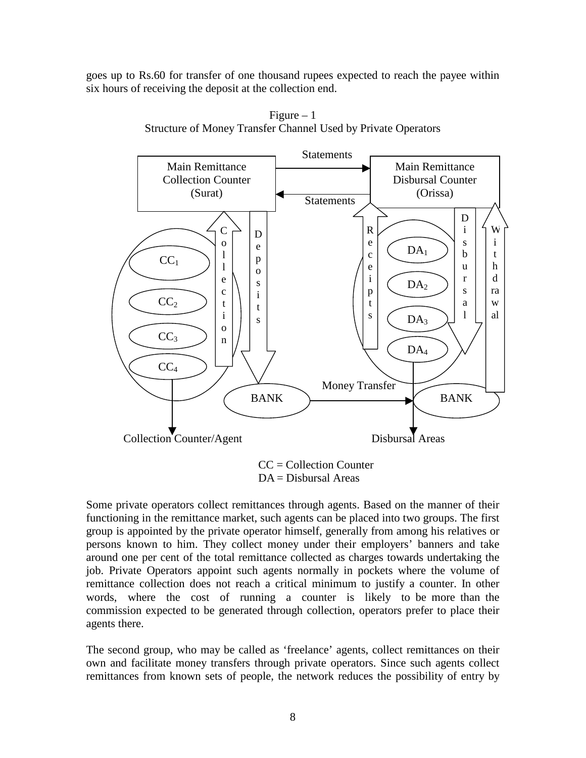goes up to Rs.60 for transfer of one thousand rupees expected to reach the payee within six hours of receiving the deposit at the collection end.



Figure  $-1$ Structure of Money Transfer Channel Used by Private Operators

 $CC = Collection Counter$ DA = Disbursal Areas

Some private operators collect remittances through agents. Based on the manner of their functioning in the remittance market, such agents can be placed into two groups. The first group is appointed by the private operator himself, generally from among his relatives or persons known to him. They collect money under their employers' banners and take around one per cent of the total remittance collected as charges towards undertaking the job. Private Operators appoint such agents normally in pockets where the volume of remittance collection does not reach a critical minimum to justify a counter. In other words, where the cost of running a counter is likely to be more than the commission expected to be generated through collection, operators prefer to place their agents there.

The second group, who may be called as 'freelance' agents, collect remittances on their own and facilitate money transfers through private operators. Since such agents collect remittances from known sets of people, the network reduces the possibility of entry by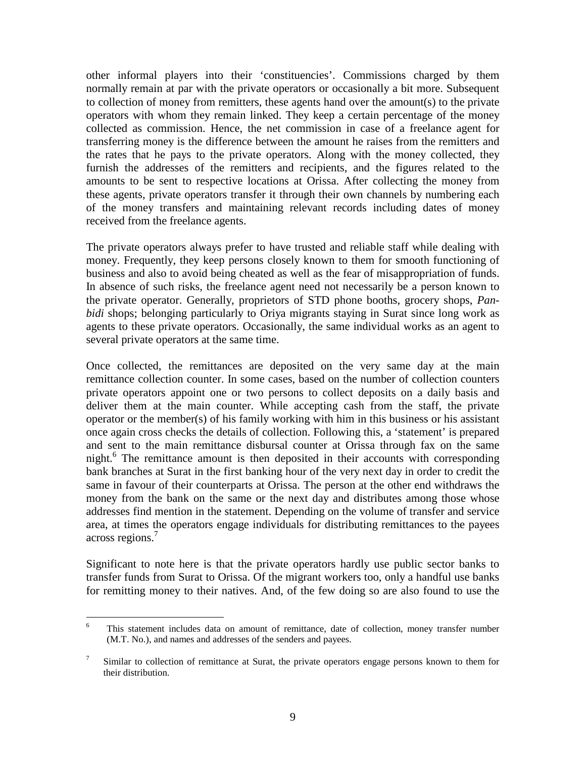other informal players into their 'constituencies'. Commissions charged by them normally remain at par with the private operators or occasionally a bit more. Subsequent to collection of money from remitters, these agents hand over the amount(s) to the private operators with whom they remain linked. They keep a certain percentage of the money collected as commission. Hence, the net commission in case of a freelance agent for transferring money is the difference between the amount he raises from the remitters and the rates that he pays to the private operators. Along with the money collected, they furnish the addresses of the remitters and recipients, and the figures related to the amounts to be sent to respective locations at Orissa. After collecting the money from these agents, private operators transfer it through their own channels by numbering each of the money transfers and maintaining relevant records including dates of money received from the freelance agents.

The private operators always prefer to have trusted and reliable staff while dealing with money. Frequently, they keep persons closely known to them for smooth functioning of business and also to avoid being cheated as well as the fear of misappropriation of funds. In absence of such risks, the freelance agent need not necessarily be a person known to the private operator. Generally, proprietors of STD phone booths, grocery shops, *Panbidi* shops; belonging particularly to Oriya migrants staying in Surat since long work as agents to these private operators. Occasionally, the same individual works as an agent to several private operators at the same time.

Once collected, the remittances are deposited on the very same day at the main remittance collection counter. In some cases, based on the number of collection counters private operators appoint one or two persons to collect deposits on a daily basis and deliver them at the main counter. While accepting cash from the staff, the private operator or the member(s) of his family working with him in this business or his assistant once again cross checks the details of collection. Following this, a 'statement' is prepared and sent to the main remittance disbursal counter at Orissa through fax on the same night. <sup>6</sup> The remittance amount is then deposited in their accounts with corresponding bank branches at Surat in the first banking hour of the very next day in order to credit the same in favour of their counterparts at Orissa. The person at the other end withdraws the money from the bank on the same or the next day and distributes among those whose addresses find mention in the statement. Depending on the volume of transfer and service area, at times the operators engage individuals for distributing remittances to the payees across regions. 7

Significant to note here is that the private operators hardly use public sector banks to transfer funds from Surat to Orissa. Of the migrant workers too, only a handful use banks for remitting money to their natives. And, of the few doing so are also found to use the

 $\frac{1}{6}$ This statement includes data on amount of remittance, date of collection, money transfer number (M.T. No.), and names and addresses of the senders and payees.

<sup>7</sup> Similar to collection of remittance at Surat, the private operators engage persons known to them for their distribution.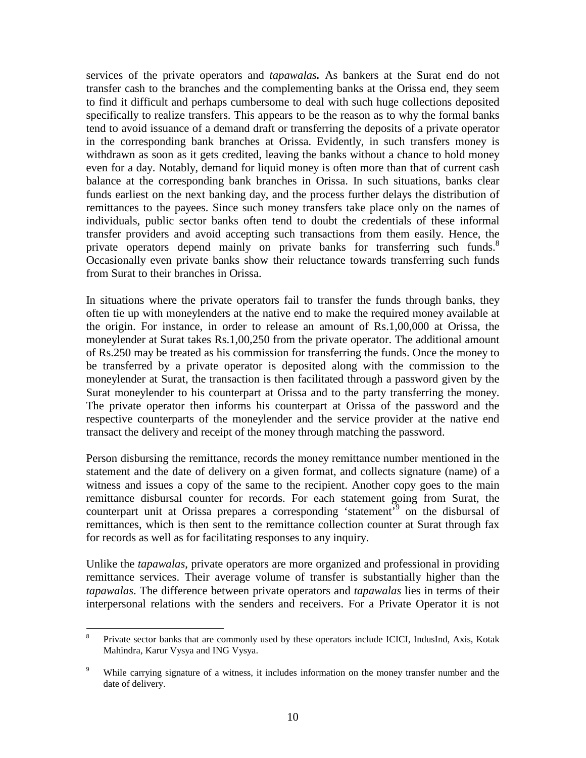services of the private operators and *tapawalas.* As bankers at the Surat end do not transfer cash to the branches and the complementing banks at the Orissa end, they seem to find it difficult and perhaps cumbersome to deal with such huge collections deposited specifically to realize transfers. This appears to be the reason as to why the formal banks tend to avoid issuance of a demand draft or transferring the deposits of a private operator in the corresponding bank branches at Orissa. Evidently, in such transfers money is withdrawn as soon as it gets credited, leaving the banks without a chance to hold money even for a day. Notably, demand for liquid money is often more than that of current cash balance at the corresponding bank branches in Orissa. In such situations, banks clear funds earliest on the next banking day, and the process further delays the distribution of remittances to the payees. Since such money transfers take place only on the names of individuals, public sector banks often tend to doubt the credentials of these informal transfer providers and avoid accepting such transactions from them easily. Hence, the private operators depend mainly on private banks for transferring such funds.<sup>8</sup> Occasionally even private banks show their reluctance towards transferring such funds from Surat to their branches in Orissa.

In situations where the private operators fail to transfer the funds through banks, they often tie up with moneylenders at the native end to make the required money available at the origin. For instance, in order to release an amount of Rs.1,00,000 at Orissa, the moneylender at Surat takes Rs.1,00,250 from the private operator. The additional amount of Rs.250 may be treated as his commission for transferring the funds. Once the money to be transferred by a private operator is deposited along with the commission to the moneylender at Surat, the transaction is then facilitated through a password given by the Surat moneylender to his counterpart at Orissa and to the party transferring the money. The private operator then informs his counterpart at Orissa of the password and the respective counterparts of the moneylender and the service provider at the native end transact the delivery and receipt of the money through matching the password.

Person disbursing the remittance, records the money remittance number mentioned in the statement and the date of delivery on a given format, and collects signature (name) of a witness and issues a copy of the same to the recipient. Another copy goes to the main remittance disbursal counter for records. For each statement going from Surat, the counterpart unit at Orissa prepares a corresponding 'statement'<sup>9</sup> on the disbursal of remittances, which is then sent to the remittance collection counter at Surat through fax for records as well as for facilitating responses to any inquiry.

Unlike the *tapawalas*, private operators are more organized and professional in providing remittance services. Their average volume of transfer is substantially higher than the *tapawalas*. The difference between private operators and *tapawalas* lies in terms of their interpersonal relations with the senders and receivers. For a Private Operator it is not

 8 Private sector banks that are commonly used by these operators include ICICI, IndusInd, Axis, Kotak Mahindra, Karur Vysya and ING Vysya.

<sup>9</sup> While carrying signature of a witness, it includes information on the money transfer number and the date of delivery.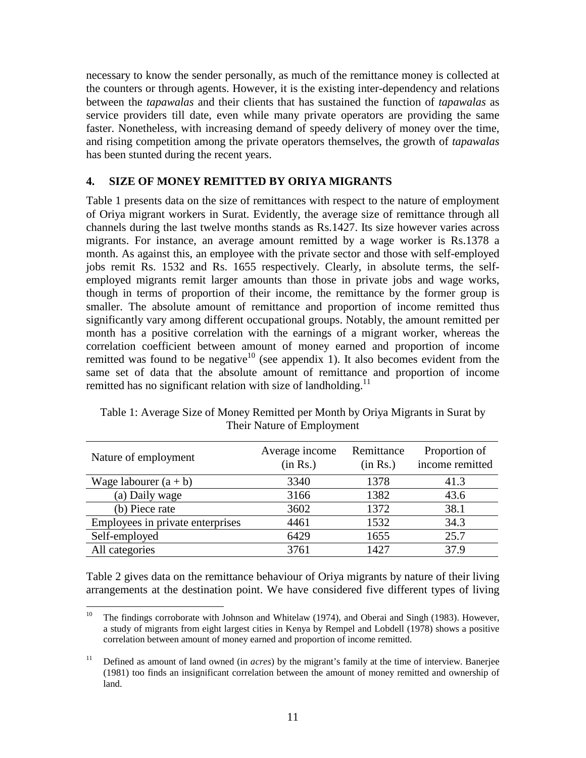necessary to know the sender personally, as much of the remittance money is collected at the counters or through agents. However, it is the existing inter-dependency and relations between the *tapawalas* and their clients that has sustained the function of *tapawalas* as service providers till date, even while many private operators are providing the same faster. Nonetheless, with increasing demand of speedy delivery of money over the time, and rising competition among the private operators themselves, the growth of *tapawalas*  has been stunted during the recent years.

### **4. SIZE OF MONEY REMITTED BY ORIYA MIGRANTS**

Table 1 presents data on the size of remittances with respect to the nature of employment of Oriya migrant workers in Surat. Evidently, the average size of remittance through all channels during the last twelve months stands as Rs.1427. Its size however varies across migrants. For instance, an average amount remitted by a wage worker is Rs.1378 a month. As against this, an employee with the private sector and those with self-employed jobs remit Rs. 1532 and Rs. 1655 respectively. Clearly, in absolute terms, the selfemployed migrants remit larger amounts than those in private jobs and wage works, though in terms of proportion of their income, the remittance by the former group is smaller. The absolute amount of remittance and proportion of income remitted thus significantly vary among different occupational groups. Notably, the amount remitted per month has a positive correlation with the earnings of a migrant worker, whereas the correlation coefficient between amount of money earned and proportion of income remitted was found to be negative $10$  (see appendix 1). It also becomes evident from the same set of data that the absolute amount of remittance and proportion of income remitted has no significant relation with size of landholding.<sup>11</sup>

| Nature of employment             | Average income<br>(in Rs.) | Remittance<br>(in Rs.) | Proportion of<br>income remitted |
|----------------------------------|----------------------------|------------------------|----------------------------------|
| Wage labourer $(a + b)$          | 3340                       | 1378                   | 41.3                             |
| (a) Daily wage                   | 3166                       | 1382                   | 43.6                             |
| (b) Piece rate                   | 3602                       | 1372                   | 38.1                             |
| Employees in private enterprises | 4461                       | 1532                   | 34.3                             |
| Self-employed                    | 6429                       | 1655                   | 25.7                             |
| All categories                   | 3761                       | 1427                   | 37.9                             |

Table 1: Average Size of Money Remitted per Month by Oriya Migrants in Surat by Their Nature of Employment

Table 2 gives data on the remittance behaviour of Oriya migrants by nature of their living arrangements at the destination point. We have considered five different types of living

 $10\,$ <sup>10</sup> The findings corroborate with Johnson and Whitelaw (1974), and Oberai and Singh (1983). However, a study of migrants from eight largest cities in Kenya by Rempel and Lobdell (1978) shows a positive correlation between amount of money earned and proportion of income remitted.

<sup>&</sup>lt;sup>11</sup> Defined as amount of land owned (in *acres*) by the migrant's family at the time of interview. Banerjee (1981) too finds an insignificant correlation between the amount of money remitted and ownership of land.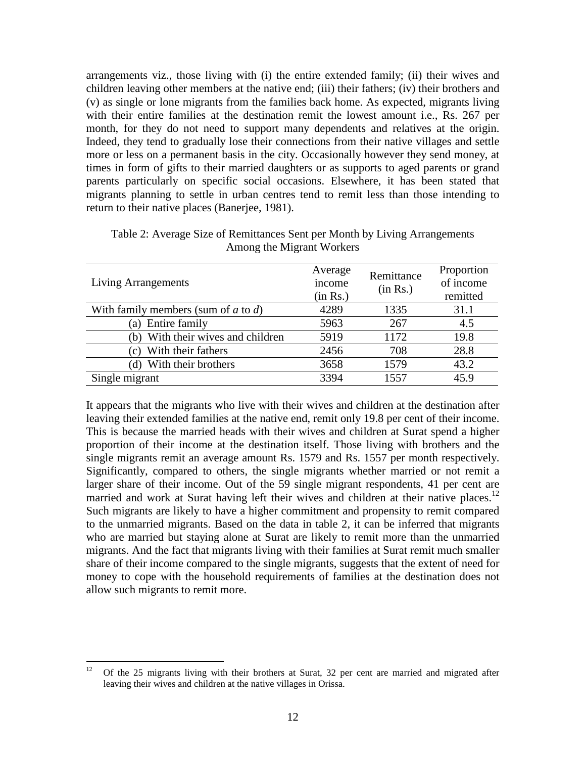arrangements viz., those living with (i) the entire extended family; (ii) their wives and children leaving other members at the native end; (iii) their fathers; (iv) their brothers and (v) as single or lone migrants from the families back home. As expected, migrants living with their entire families at the destination remit the lowest amount i.e., Rs. 267 per month, for they do not need to support many dependents and relatives at the origin. Indeed, they tend to gradually lose their connections from their native villages and settle more or less on a permanent basis in the city. Occasionally however they send money, at times in form of gifts to their married daughters or as supports to aged parents or grand parents particularly on specific social occasions. Elsewhere, it has been stated that migrants planning to settle in urban centres tend to remit less than those intending to return to their native places (Banerjee, 1981).

| <b>Living Arrangements</b>               | Average<br>income<br>(in Rs.) | Remittance<br>(in Rs.) | Proportion<br>of income<br>remitted |
|------------------------------------------|-------------------------------|------------------------|-------------------------------------|
| With family members (sum of $a$ to $d$ ) | 4289                          | 1335                   | 31.1                                |
| (a) Entire family                        | 5963                          | 267                    | 4.5                                 |
| With their wives and children<br>(b)     | 5919                          | 1172                   | 19.8                                |
| With their fathers<br>$\left( c\right)$  | 2456                          | 708                    | 28.8                                |
| With their brothers<br>(d)               | 3658                          | 1579                   | 43.2                                |
| Single migrant                           | 3394                          | 1557                   | 45.9                                |

Table 2: Average Size of Remittances Sent per Month by Living Arrangements Among the Migrant Workers

It appears that the migrants who live with their wives and children at the destination after leaving their extended families at the native end, remit only 19.8 per cent of their income. This is because the married heads with their wives and children at Surat spend a higher proportion of their income at the destination itself. Those living with brothers and the single migrants remit an average amount Rs. 1579 and Rs. 1557 per month respectively. Significantly, compared to others, the single migrants whether married or not remit a larger share of their income. Out of the 59 single migrant respondents, 41 per cent are married and work at Surat having left their wives and children at their native places.<sup>12</sup> Such migrants are likely to have a higher commitment and propensity to remit compared to the unmarried migrants. Based on the data in table 2, it can be inferred that migrants who are married but staying alone at Surat are likely to remit more than the unmarried migrants. And the fact that migrants living with their families at Surat remit much smaller share of their income compared to the single migrants, suggests that the extent of need for money to cope with the household requirements of families at the destination does not allow such migrants to remit more.

 $12<sup>12</sup>$ <sup>12</sup> Of the 25 migrants living with their brothers at Surat, 32 per cent are married and migrated after leaving their wives and children at the native villages in Orissa.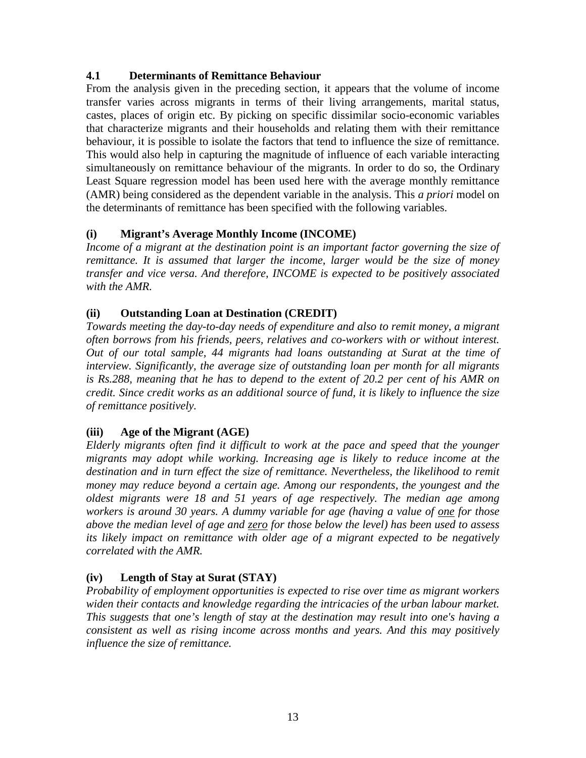### **4.1 Determinants of Remittance Behaviour**

From the analysis given in the preceding section, it appears that the volume of income transfer varies across migrants in terms of their living arrangements, marital status, castes, places of origin etc. By picking on specific dissimilar socio-economic variables that characterize migrants and their households and relating them with their remittance behaviour, it is possible to isolate the factors that tend to influence the size of remittance. This would also help in capturing the magnitude of influence of each variable interacting simultaneously on remittance behaviour of the migrants. In order to do so, the Ordinary Least Square regression model has been used here with the average monthly remittance (AMR) being considered as the dependent variable in the analysis. This *a priori* model on the determinants of remittance has been specified with the following variables.

## **(i) Migrant's Average Monthly Income (INCOME)**

Income of a migrant at the destination point is an important factor governing the size of *remittance. It is assumed that larger the income, larger would be the size of money transfer and vice versa. And therefore, INCOME is expected to be positively associated with the AMR.* 

### **(ii) Outstanding Loan at Destination (CREDIT)**

*Towards meeting the day-to-day needs of expenditure and also to remit money, a migrant often borrows from his friends, peers, relatives and co-workers with or without interest. Out of our total sample, 44 migrants had loans outstanding at Surat at the time of interview. Significantly, the average size of outstanding loan per month for all migrants is Rs.288, meaning that he has to depend to the extent of 20.2 per cent of his AMR on credit. Since credit works as an additional source of fund, it is likely to influence the size of remittance positively.* 

### **(iii) Age of the Migrant (AGE)**

*Elderly migrants often find it difficult to work at the pace and speed that the younger migrants may adopt while working. Increasing age is likely to reduce income at the*  destination and in turn effect the size of remittance. Nevertheless, the likelihood to remit *money may reduce beyond a certain age. Among our respondents, the youngest and the oldest migrants were 18 and 51 years of age respectively. The median age among workers is around 30 years. A dummy variable for age (having a value of one for those above the median level of age and zero for those below the level) has been used to assess its likely impact on remittance with older age of a migrant expected to be negatively correlated with the AMR.*

## **(iv) Length of Stay at Surat (STAY)**

*Probability of employment opportunities is expected to rise over time as migrant workers widen their contacts and knowledge regarding the intricacies of the urban labour market. This suggests that one's length of stay at the destination may result into one's having a consistent as well as rising income across months and years. And this may positively influence the size of remittance.*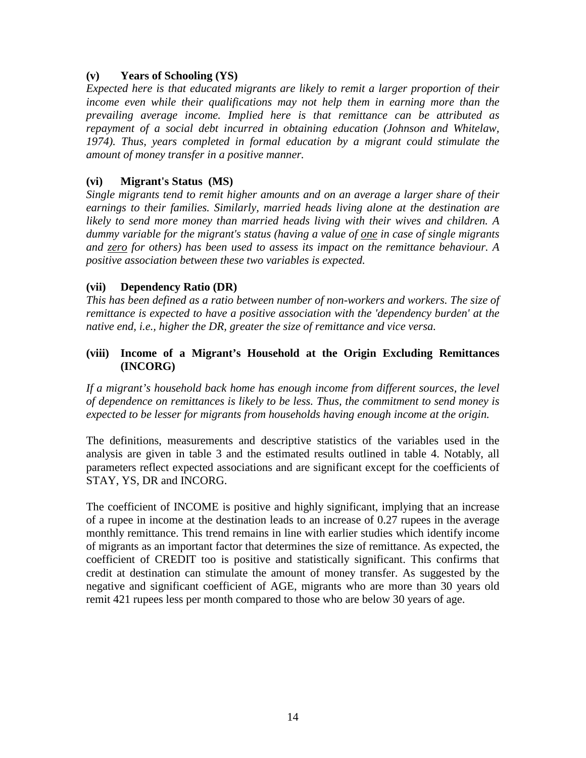#### **(v) Years of Schooling (YS)**

*Expected here is that educated migrants are likely to remit a larger proportion of their income even while their qualifications may not help them in earning more than the prevailing average income. Implied here is that remittance can be attributed as repayment of a social debt incurred in obtaining education (Johnson and Whitelaw, 1974). Thus, years completed in formal education by a migrant could stimulate the amount of money transfer in a positive manner.* 

### **(vi) Migrant's Status (MS)**

*Single migrants tend to remit higher amounts and on an average a larger share of their earnings to their families. Similarly, married heads living alone at the destination are likely to send more money than married heads living with their wives and children. A dummy variable for the migrant's status (having a value of one in case of single migrants and zero for others) has been used to assess its impact on the remittance behaviour. A positive association between these two variables is expected.*

### **(vii) Dependency Ratio (DR)**

*This has been defined as a ratio between number of non-workers and workers. The size of remittance is expected to have a positive association with the 'dependency burden' at the native end, i.e., higher the DR, greater the size of remittance and vice versa.*

### **(viii) Income of a Migrant's Household at the Origin Excluding Remittances (INCORG)**

*If a migrant's household back home has enough income from different sources, the level of dependence on remittances is likely to be less. Thus, the commitment to send money is expected to be lesser for migrants from households having enough income at the origin.* 

The definitions, measurements and descriptive statistics of the variables used in the analysis are given in table 3 and the estimated results outlined in table 4. Notably, all parameters reflect expected associations and are significant except for the coefficients of STAY, YS, DR and INCORG.

The coefficient of INCOME is positive and highly significant, implying that an increase of a rupee in income at the destination leads to an increase of 0.27 rupees in the average monthly remittance. This trend remains in line with earlier studies which identify income of migrants as an important factor that determines the size of remittance. As expected, the coefficient of CREDIT too is positive and statistically significant. This confirms that credit at destination can stimulate the amount of money transfer. As suggested by the negative and significant coefficient of AGE, migrants who are more than 30 years old remit 421 rupees less per month compared to those who are below 30 years of age.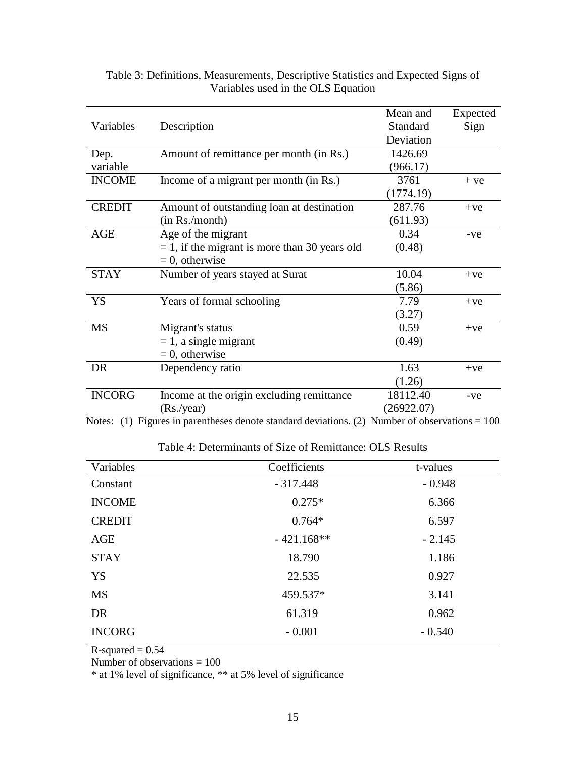|               |                                                  | Mean and        | Expected |
|---------------|--------------------------------------------------|-----------------|----------|
| Variables     | Description                                      | <b>Standard</b> | Sign     |
|               |                                                  | Deviation       |          |
| Dep.          | Amount of remittance per month (in Rs.)          | 1426.69         |          |
| variable      |                                                  | (966.17)        |          |
| <b>INCOME</b> | Income of a migrant per month (in Rs.)           | 3761            | $+ve$    |
|               |                                                  | (1774.19)       |          |
| <b>CREDIT</b> | Amount of outstanding loan at destination        | 287.76          | $+ve$    |
|               | (in Rs./month)                                   | (611.93)        |          |
| <b>AGE</b>    | Age of the migrant                               | 0.34            | -ve      |
|               | $= 1$ , if the migrant is more than 30 years old | (0.48)          |          |
|               | $= 0$ , otherwise                                |                 |          |
| <b>STAY</b>   | Number of years stayed at Surat                  | 10.04           | $+ve$    |
|               |                                                  | (5.86)          |          |
| YS            | Years of formal schooling                        | 7.79            | $+ve$    |
|               |                                                  | (3.27)          |          |
| <b>MS</b>     | Migrant's status                                 | 0.59            | $+ve$    |
|               | $= 1$ , a single migrant                         | (0.49)          |          |
|               | $= 0$ , otherwise                                |                 |          |
| DR            | Dependency ratio                                 | 1.63            | $+ve$    |
|               |                                                  | (1.26)          |          |
| <b>INCORG</b> | Income at the origin excluding remittance        | 18112.40        | -ve      |
|               | (Rs./year)                                       | (26922.07)      |          |

### Table 3: Definitions, Measurements, Descriptive Statistics and Expected Signs of Variables used in the OLS Equation

Notes: (1) Figures in parentheses denote standard deviations. (2) Number of observations =  $100$ 

| Variables     | Coefficients | t-values |
|---------------|--------------|----------|
| Constant      | $-317.448$   | $-0.948$ |
| <b>INCOME</b> | $0.275*$     | 6.366    |
| <b>CREDIT</b> | $0.764*$     | 6.597    |
| AGE           | $-421.168**$ | $-2.145$ |
| <b>STAY</b>   | 18.790       | 1.186    |
| YS            | 22.535       | 0.927    |
| <b>MS</b>     | 459.537*     | 3.141    |
| DR            | 61.319       | 0.962    |
| <b>INCORG</b> | $-0.001$     | $-0.540$ |

Table 4: Determinants of Size of Remittance: OLS Results

 $R$ -squared = 0.54

Number of observations = 100

\* at 1% level of significance, \*\* at 5% level of significance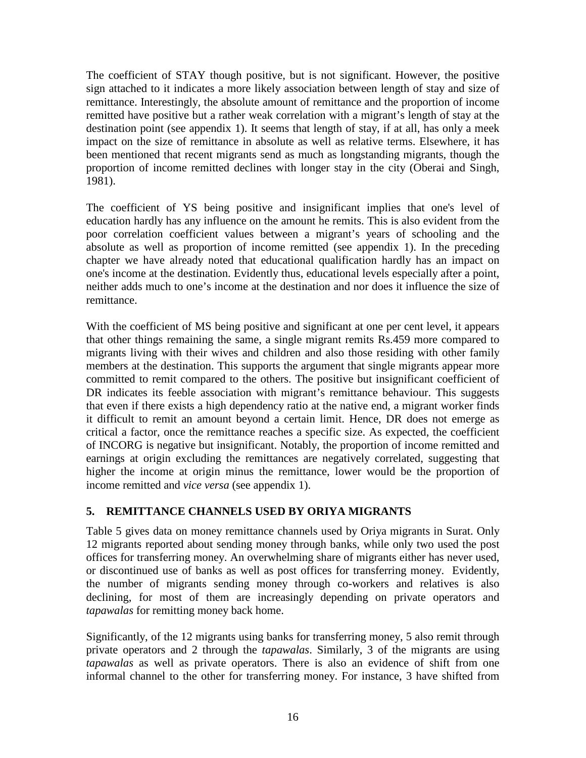The coefficient of STAY though positive, but is not significant. However, the positive sign attached to it indicates a more likely association between length of stay and size of remittance. Interestingly, the absolute amount of remittance and the proportion of income remitted have positive but a rather weak correlation with a migrant's length of stay at the destination point (see appendix 1). It seems that length of stay, if at all, has only a meek impact on the size of remittance in absolute as well as relative terms. Elsewhere, it has been mentioned that recent migrants send as much as longstanding migrants, though the proportion of income remitted declines with longer stay in the city (Oberai and Singh, 1981).

The coefficient of YS being positive and insignificant implies that one's level of education hardly has any influence on the amount he remits. This is also evident from the poor correlation coefficient values between a migrant's years of schooling and the absolute as well as proportion of income remitted (see appendix 1). In the preceding chapter we have already noted that educational qualification hardly has an impact on one's income at the destination. Evidently thus, educational levels especially after a point, neither adds much to one's income at the destination and nor does it influence the size of remittance.

With the coefficient of MS being positive and significant at one per cent level, it appears that other things remaining the same, a single migrant remits Rs.459 more compared to migrants living with their wives and children and also those residing with other family members at the destination. This supports the argument that single migrants appear more committed to remit compared to the others. The positive but insignificant coefficient of DR indicates its feeble association with migrant's remittance behaviour. This suggests that even if there exists a high dependency ratio at the native end, a migrant worker finds it difficult to remit an amount beyond a certain limit. Hence, DR does not emerge as critical a factor, once the remittance reaches a specific size. As expected, the coefficient of INCORG is negative but insignificant. Notably, the proportion of income remitted and earnings at origin excluding the remittances are negatively correlated, suggesting that higher the income at origin minus the remittance, lower would be the proportion of income remitted and *vice versa* (see appendix 1).

## **5. REMITTANCE CHANNELS USED BY ORIYA MIGRANTS**

Table 5 gives data on money remittance channels used by Oriya migrants in Surat. Only 12 migrants reported about sending money through banks, while only two used the post offices for transferring money. An overwhelming share of migrants either has never used, or discontinued use of banks as well as post offices for transferring money. Evidently, the number of migrants sending money through co-workers and relatives is also declining, for most of them are increasingly depending on private operators and *tapawalas* for remitting money back home.

Significantly, of the 12 migrants using banks for transferring money, 5 also remit through private operators and 2 through the *tapawalas*. Similarly, 3 of the migrants are using *tapawalas* as well as private operators. There is also an evidence of shift from one informal channel to the other for transferring money. For instance, 3 have shifted from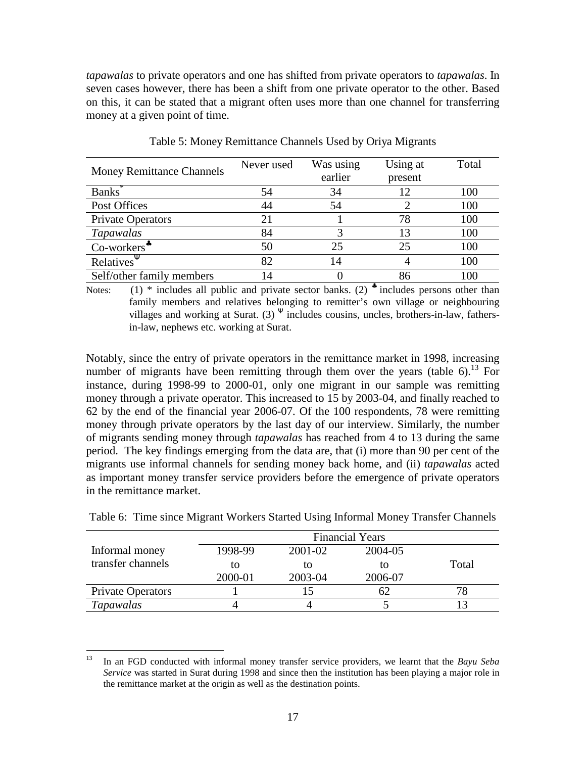*tapawalas* to private operators and one has shifted from private operators to *tapawalas*. In seven cases however, there has been a shift from one private operator to the other. Based on this, it can be stated that a migrant often uses more than one channel for transferring money at a given point of time.

| <b>Money Remittance Channels</b>        | Never used | Was using<br>earlier | Using at<br>present | Total |
|-----------------------------------------|------------|----------------------|---------------------|-------|
| Banks <sup>*</sup>                      | 54         | 34                   | 12                  | 100   |
| Post Offices                            | 44         | 54                   |                     | 100   |
| <b>Private Operators</b>                | 21         |                      | 78                  | 100   |
| Tapawalas                               | 84         |                      | 13                  | 100   |
| $Co$ -workers <sup><math>*</math></sup> | 50         | 25                   | 25                  | 100   |
| Relatives <sup>Y</sup>                  | 82         | 14                   |                     | 100   |
| Self/other family members               |            |                      | 86                  | 100   |

Table 5: Money Remittance Channels Used by Oriya Migrants

Notes:  $(1)$  \* includes all public and private sector banks. (2) \* includes persons other than family members and relatives belonging to remitter's own village or neighbouring villages and working at Surat.  $(3)$ <sup> $\Psi$ </sup> includes cousins, uncles, brothers-in-law, fathersin-law, nephews etc. working at Surat.

Notably, since the entry of private operators in the remittance market in 1998, increasing number of migrants have been remitting through them over the years (table 6).<sup>13</sup> For instance, during 1998-99 to 2000-01, only one migrant in our sample was remitting money through a private operator. This increased to 15 by 2003-04, and finally reached to 62 by the end of the financial year 2006-07. Of the 100 respondents, 78 were remitting money through private operators by the last day of our interview. Similarly, the number of migrants sending money through *tapawalas* has reached from 4 to 13 during the same period. The key findings emerging from the data are, that (i) more than 90 per cent of the migrants use informal channels for sending money back home, and (ii) *tapawalas* acted as important money transfer service providers before the emergence of private operators in the remittance market.

|                   | <b>Financial Years</b> |                |         |       |
|-------------------|------------------------|----------------|---------|-------|
| Informal money    | 1998-99                | 2001-02        | 2004-05 |       |
| transfer channels | to                     | tο             | īΩ      | Total |
|                   | 2000-01                | 2003-04        | 2006-07 |       |
| Private Operators |                        | $\overline{5}$ | 62      |       |
| <b>Tapawalas</b>  |                        |                |         |       |

Table 6: Time since Migrant Workers Started Using Informal Money Transfer Channels

<sup>13</sup> <sup>13</sup> In an FGD conducted with informal money transfer service providers, we learnt that the *Bayu Seba Service* was started in Surat during 1998 and since then the institution has been playing a major role in the remittance market at the origin as well as the destination points.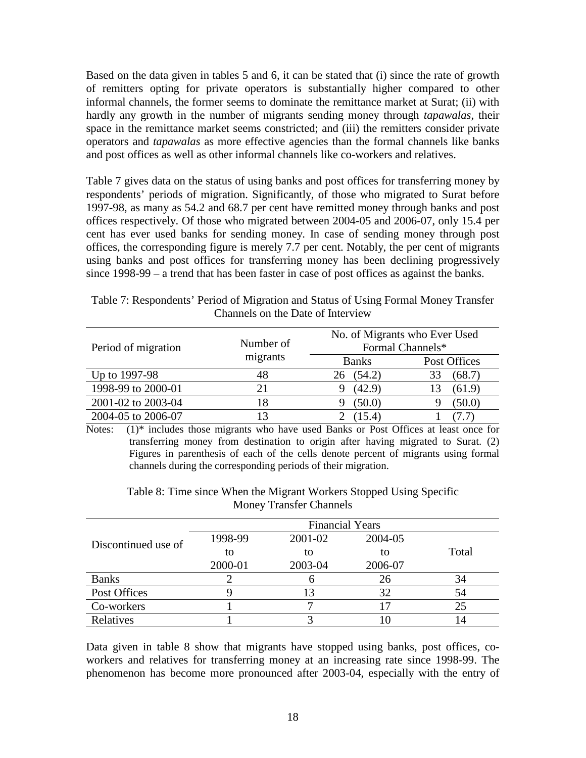Based on the data given in tables 5 and 6, it can be stated that (i) since the rate of growth of remitters opting for private operators is substantially higher compared to other informal channels, the former seems to dominate the remittance market at Surat; (ii) with hardly any growth in the number of migrants sending money through *tapawalas*, their space in the remittance market seems constricted; and (iii) the remitters consider private operators and *tapawalas* as more effective agencies than the formal channels like banks and post offices as well as other informal channels like co-workers and relatives.

Table 7 gives data on the status of using banks and post offices for transferring money by respondents' periods of migration. Significantly, of those who migrated to Surat before 1997-98, as many as 54.2 and 68.7 per cent have remitted money through banks and post offices respectively. Of those who migrated between 2004-05 and 2006-07, only 15.4 per cent has ever used banks for sending money. In case of sending money through post offices, the corresponding figure is merely 7.7 per cent. Notably, the per cent of migrants using banks and post offices for transferring money has been declining progressively since 1998-99 – a trend that has been faster in case of post offices as against the banks.

| Table 7: Respondents' Period of Migration and Status of Using Formal Money Transfer |  |  |  |  |  |
|-------------------------------------------------------------------------------------|--|--|--|--|--|
| Channels on the Date of Interview                                                   |  |  |  |  |  |
|                                                                                     |  |  |  |  |  |
| No. of Migrants who Ever Used                                                       |  |  |  |  |  |

| Period of migration | Number of | No. of Migrants who Ever Used<br>Formal Channels* |              |  |
|---------------------|-----------|---------------------------------------------------|--------------|--|
|                     | migrants  | <b>Banks</b>                                      | Post Offices |  |
| Up to 1997-98       | 48        | (54.2)<br>26                                      | (68.7)       |  |
| 1998-99 to 2000-01  | 21        | (42.9)                                            | (61.9)       |  |
| 2001-02 to 2003-04  | 18        | (50.0)                                            | (50.0)       |  |
| 2004-05 to 2006-07  | 13        | (15.4)                                            |              |  |

Notes: (1)\* includes those migrants who have used Banks or Post Offices at least once for transferring money from destination to origin after having migrated to Surat. (2) Figures in parenthesis of each of the cells denote percent of migrants using formal channels during the corresponding periods of their migration.

|                     |         | <b>Financial Years</b> |         |       |
|---------------------|---------|------------------------|---------|-------|
| Discontinued use of | 1998-99 | 2001-02                | 2004-05 |       |
|                     | to      | to                     | to      | Total |
|                     | 2000-01 | 2003-04                | 2006-07 |       |
| <b>Banks</b>        |         |                        | 26      | 34    |
| Post Offices        |         |                        | 32      | 54    |
| Co-workers          |         |                        | 17      | 25    |
| Relatives           |         |                        |         |       |

Table 8: Time since When the Migrant Workers Stopped Using Specific Money Transfer Channels

Data given in table 8 show that migrants have stopped using banks, post offices, coworkers and relatives for transferring money at an increasing rate since 1998-99. The phenomenon has become more pronounced after 2003-04, especially with the entry of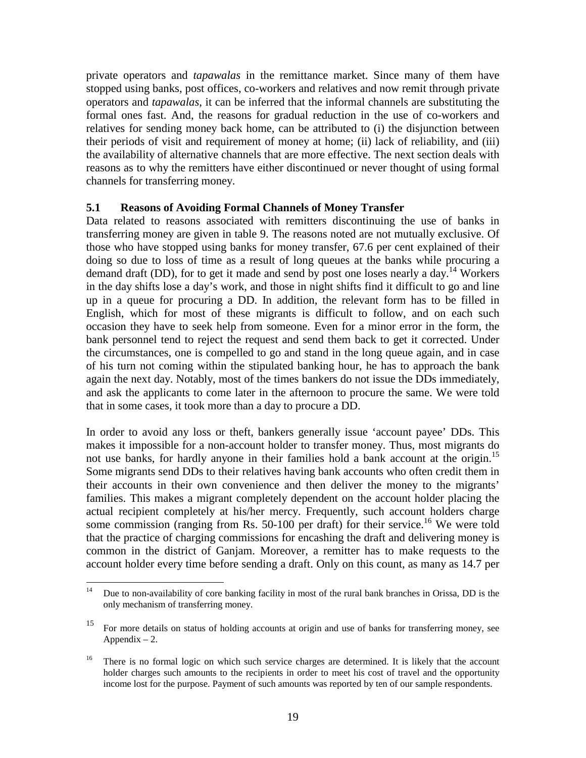private operators and *tapawalas* in the remittance market. Since many of them have stopped using banks, post offices, co-workers and relatives and now remit through private operators and *tapawalas*, it can be inferred that the informal channels are substituting the formal ones fast. And, the reasons for gradual reduction in the use of co-workers and relatives for sending money back home, can be attributed to (i) the disjunction between their periods of visit and requirement of money at home; (ii) lack of reliability, and (iii) the availability of alternative channels that are more effective. The next section deals with reasons as to why the remitters have either discontinued or never thought of using formal channels for transferring money.

### **5.1 Reasons of Avoiding Formal Channels of Money Transfer**

Data related to reasons associated with remitters discontinuing the use of banks in transferring money are given in table 9. The reasons noted are not mutually exclusive. Of those who have stopped using banks for money transfer, 67.6 per cent explained of their doing so due to loss of time as a result of long queues at the banks while procuring a demand draft (DD), for to get it made and send by post one loses nearly a day.<sup>14</sup> Workers in the day shifts lose a day's work, and those in night shifts find it difficult to go and line up in a queue for procuring a DD. In addition, the relevant form has to be filled in English, which for most of these migrants is difficult to follow, and on each such occasion they have to seek help from someone. Even for a minor error in the form, the bank personnel tend to reject the request and send them back to get it corrected. Under the circumstances, one is compelled to go and stand in the long queue again, and in case of his turn not coming within the stipulated banking hour, he has to approach the bank again the next day. Notably, most of the times bankers do not issue the DDs immediately, and ask the applicants to come later in the afternoon to procure the same. We were told that in some cases, it took more than a day to procure a DD.

In order to avoid any loss or theft, bankers generally issue 'account payee' DDs. This makes it impossible for a non-account holder to transfer money. Thus, most migrants do not use banks, for hardly anyone in their families hold a bank account at the origin.<sup>15</sup> Some migrants send DDs to their relatives having bank accounts who often credit them in their accounts in their own convenience and then deliver the money to the migrants' families. This makes a migrant completely dependent on the account holder placing the actual recipient completely at his/her mercy. Frequently, such account holders charge some commission (ranging from Rs. 50-100 per draft) for their service.<sup>16</sup> We were told that the practice of charging commissions for encashing the draft and delivering money is common in the district of Ganjam. Moreover, a remitter has to make requests to the account holder every time before sending a draft. Only on this count, as many as 14.7 per

 $14$ <sup>14</sup> Due to non-availability of core banking facility in most of the rural bank branches in Orissa, DD is the only mechanism of transferring money.

<sup>15</sup> For more details on status of holding accounts at origin and use of banks for transferring money, see Appendix  $-2$ .

<sup>16</sup> There is no formal logic on which such service charges are determined. It is likely that the account holder charges such amounts to the recipients in order to meet his cost of travel and the opportunity income lost for the purpose. Payment of such amounts was reported by ten of our sample respondents.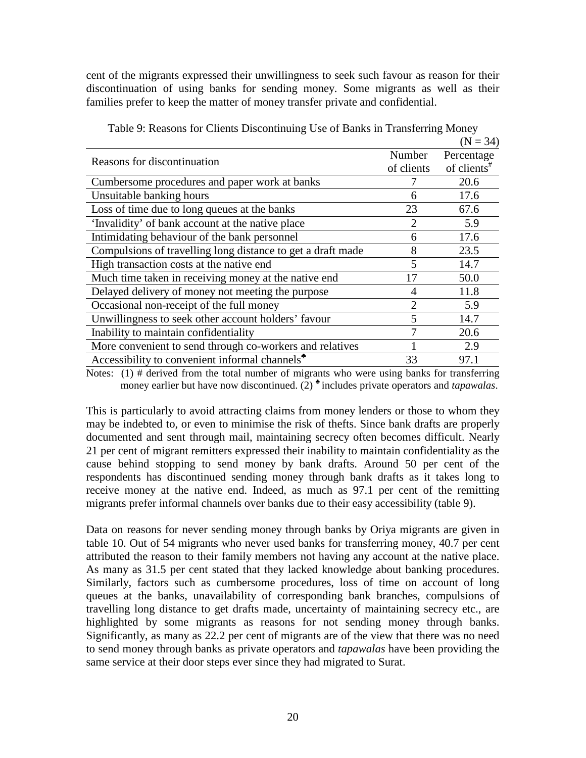cent of the migrants expressed their unwillingness to seek such favour as reason for their discontinuation of using banks for sending money. Some migrants as well as their families prefer to keep the matter of money transfer private and confidential.

|                                                             |               | $(N = 34)$              |
|-------------------------------------------------------------|---------------|-------------------------|
| Reasons for discontinuation                                 | Number        | Percentage              |
|                                                             | of clients    | of clients <sup>#</sup> |
| Cumbersome procedures and paper work at banks               |               | 20.6                    |
| Unsuitable banking hours                                    | 6             | 17.6                    |
| Loss of time due to long queues at the banks                | 23            | 67.6                    |
| 'Invalidity' of bank account at the native place            | 2             | 5.9                     |
| Intimidating behaviour of the bank personnel                | 6             | 17.6                    |
| Compulsions of travelling long distance to get a draft made | 8             | 23.5                    |
| High transaction costs at the native end                    | 5             | 14.7                    |
| Much time taken in receiving money at the native end        | 17            | 50.0                    |
| Delayed delivery of money not meeting the purpose           | 4             | 11.8                    |
| Occasional non-receipt of the full money                    | $\mathcal{D}$ | 5.9                     |
| Unwillingness to seek other account holders' favour         |               | 14.7                    |
| Inability to maintain confidentiality                       |               | 20.6                    |
| More convenient to send through co-workers and relatives    |               | 2.9                     |
| Accessibility to convenient informal channels <sup>*</sup>  | 33            | 97.1                    |

Table 9: Reasons for Clients Discontinuing Use of Banks in Transferring Money

Notes:  $(1)$  # derived from the total number of migrants who were using banks for transferring money earlier but have now discontinued. (2)<sup>\*</sup> includes private operators and *tapawalas*.

This is particularly to avoid attracting claims from money lenders or those to whom they may be indebted to, or even to minimise the risk of thefts. Since bank drafts are properly documented and sent through mail, maintaining secrecy often becomes difficult. Nearly 21 per cent of migrant remitters expressed their inability to maintain confidentiality as the cause behind stopping to send money by bank drafts. Around 50 per cent of the respondents has discontinued sending money through bank drafts as it takes long to receive money at the native end. Indeed, as much as 97.1 per cent of the remitting migrants prefer informal channels over banks due to their easy accessibility (table 9).

Data on reasons for never sending money through banks by Oriya migrants are given in table 10. Out of 54 migrants who never used banks for transferring money, 40.7 per cent attributed the reason to their family members not having any account at the native place. As many as 31.5 per cent stated that they lacked knowledge about banking procedures. Similarly, factors such as cumbersome procedures, loss of time on account of long queues at the banks, unavailability of corresponding bank branches, compulsions of travelling long distance to get drafts made, uncertainty of maintaining secrecy etc., are highlighted by some migrants as reasons for not sending money through banks. Significantly, as many as 22.2 per cent of migrants are of the view that there was no need to send money through banks as private operators and *tapawalas* have been providing the same service at their door steps ever since they had migrated to Surat.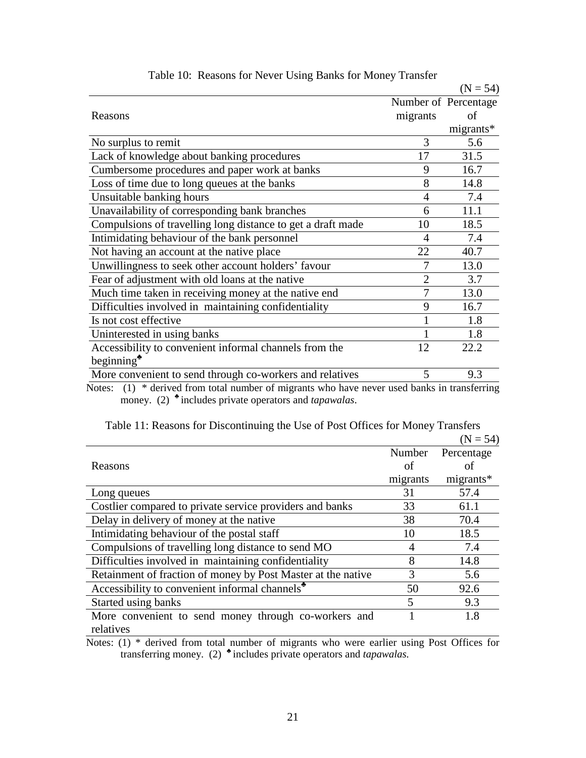|                                                             |                | $(N = 54)$           |
|-------------------------------------------------------------|----------------|----------------------|
|                                                             |                | Number of Percentage |
| Reasons                                                     | migrants       | of                   |
|                                                             |                | migrants*            |
| No surplus to remit                                         | 3              | 5.6                  |
| Lack of knowledge about banking procedures                  | 17             | 31.5                 |
| Cumbersome procedures and paper work at banks               | 9              | 16.7                 |
| Loss of time due to long queues at the banks                | 8              | 14.8                 |
| Unsuitable banking hours                                    | 4              | 7.4                  |
| Unavailability of corresponding bank branches               | 6              | 11.1                 |
| Compulsions of travelling long distance to get a draft made | 10             | 18.5                 |
| Intimidating behaviour of the bank personnel                | $\overline{A}$ | 7.4                  |
| Not having an account at the native place                   | 22             | 40.7                 |
| Unwillingness to seek other account holders' favour         |                | 13.0                 |
| Fear of adjustment with old loans at the native             | $\overline{2}$ | 3.7                  |
| Much time taken in receiving money at the native end        | 7              | 13.0                 |
| Difficulties involved in maintaining confidentiality        | 9              | 16.7                 |
| Is not cost effective                                       |                | 1.8                  |
| Uninterested in using banks                                 |                | 1.8                  |
| Accessibility to convenient informal channels from the      | 12             | 22.2                 |
| beginning $\ddot{\phantom{a}}$                              |                |                      |
| More convenient to send through co-workers and relatives    | 5              | 9.3                  |
|                                                             |                |                      |

| Table 10: Reasons for Never Using Banks for Money Transfer |  |  |  |
|------------------------------------------------------------|--|--|--|
|                                                            |  |  |  |

Notes:(1) \* derived from total number of migrants who have never used banks in transferring money. (2) includes private operators and *tapawalas*.

|                                                              |          | $(N = 54)$ |
|--------------------------------------------------------------|----------|------------|
|                                                              | Number   | Percentage |
| Reasons                                                      | οf       | οť         |
|                                                              | migrants | migrants*  |
| Long queues                                                  | 31       | 57.4       |
| Costlier compared to private service providers and banks     | 33       | 61.1       |
| Delay in delivery of money at the native                     | 38       | 70.4       |
| Intimidating behaviour of the postal staff                   | 10       | 18.5       |
| Compulsions of travelling long distance to send MO           | 4        | 7.4        |
| Difficulties involved in maintaining confidentiality         | 8        | 14.8       |
| Retainment of fraction of money by Post Master at the native | 3        | 5.6        |
| Accessibility to convenient informal channels <sup>*</sup>   | 50       | 92.6       |
| Started using banks                                          | 5        | 9.3        |
| More convenient to send money through co-workers and         |          | 1.8        |
| relatives                                                    |          |            |

Table 11: Reasons for Discontinuing the Use of Post Offices for Money Transfers

Notes: (1) \* derived from total number of migrants who were earlier using Post Offices for transferring money. (2) includes private operators and *tapawalas.*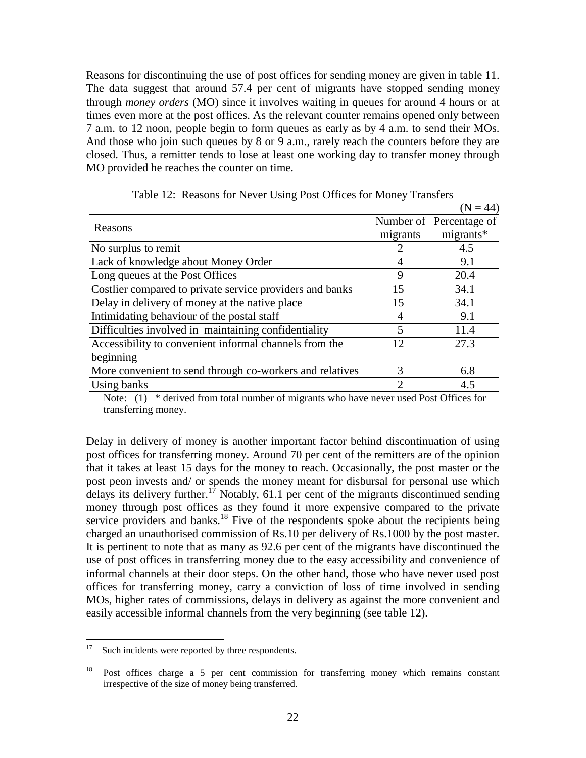Reasons for discontinuing the use of post offices for sending money are given in table 11. The data suggest that around 57.4 per cent of migrants have stopped sending money through *money orders* (MO) since it involves waiting in queues for around 4 hours or at times even more at the post offices. As the relevant counter remains opened only between 7 a.m. to 12 noon, people begin to form queues as early as by 4 a.m. to send their MOs. And those who join such queues by 8 or 9 a.m., rarely reach the counters before they are closed. Thus, a remitter tends to lose at least one working day to transfer money through MO provided he reaches the counter on time.

|                                                          |               | $(N = 44)$              |
|----------------------------------------------------------|---------------|-------------------------|
| Reasons                                                  |               | Number of Percentage of |
|                                                          | migrants      | $migrants*$             |
| No surplus to remit                                      |               | 4.5                     |
| Lack of knowledge about Money Order                      | 4             | 9.1                     |
| Long queues at the Post Offices                          | 9             | 20.4                    |
| Costlier compared to private service providers and banks | 15            | 34.1                    |
| Delay in delivery of money at the native place           | 15            | 34.1                    |
| Intimidating behaviour of the postal staff               | 4             | 9.1                     |
| Difficulties involved in maintaining confidentiality     | 5             | 11.4                    |
| Accessibility to convenient informal channels from the   | 12            | 27.3                    |
| beginning                                                |               |                         |
| More convenient to send through co-workers and relatives | $\mathcal{R}$ | 6.8                     |
| Using banks                                              | っ             | 4.5                     |

Table 12: Reasons for Never Using Post Offices for Money Transfers

Note: (1) \* derived from total number of migrants who have never used Post Offices for transferring money.

Delay in delivery of money is another important factor behind discontinuation of using post offices for transferring money. Around 70 per cent of the remitters are of the opinion that it takes at least 15 days for the money to reach. Occasionally, the post master or the post peon invests and/ or spends the money meant for disbursal for personal use which delays its delivery further.<sup>17</sup> Notably, 61.1 per cent of the migrants discontinued sending money through post offices as they found it more expensive compared to the private service providers and banks.<sup>18</sup> Five of the respondents spoke about the recipients being charged an unauthorised commission of Rs.10 per delivery of Rs.1000 by the post master. It is pertinent to note that as many as 92.6 per cent of the migrants have discontinued the use of post offices in transferring money due to the easy accessibility and convenience of informal channels at their door steps. On the other hand, those who have never used post offices for transferring money, carry a conviction of loss of time involved in sending MOs, higher rates of commissions, delays in delivery as against the more convenient and easily accessible informal channels from the very beginning (see table 12).

 $\frac{1}{17}$ Such incidents were reported by three respondents.

<sup>18</sup> Post offices charge a 5 per cent commission for transferring money which remains constant irrespective of the size of money being transferred.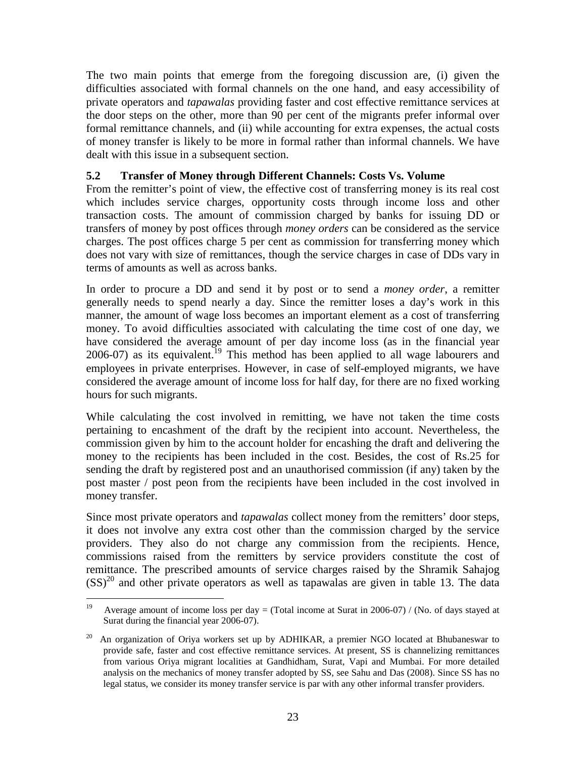The two main points that emerge from the foregoing discussion are, (i) given the difficulties associated with formal channels on the one hand, and easy accessibility of private operators and *tapawalas* providing faster and cost effective remittance services at the door steps on the other, more than 90 per cent of the migrants prefer informal over formal remittance channels, and (ii) while accounting for extra expenses, the actual costs of money transfer is likely to be more in formal rather than informal channels. We have dealt with this issue in a subsequent section.

### **5.2 Transfer of Money through Different Channels: Costs Vs. Volume**

From the remitter's point of view, the effective cost of transferring money is its real cost which includes service charges, opportunity costs through income loss and other transaction costs. The amount of commission charged by banks for issuing DD or transfers of money by post offices through *money orders* can be considered as the service charges. The post offices charge 5 per cent as commission for transferring money which does not vary with size of remittances, though the service charges in case of DDs vary in terms of amounts as well as across banks.

In order to procure a DD and send it by post or to send a *money order*, a remitter generally needs to spend nearly a day. Since the remitter loses a day's work in this manner, the amount of wage loss becomes an important element as a cost of transferring money. To avoid difficulties associated with calculating the time cost of one day, we have considered the average amount of per day income loss (as in the financial year 2006-07) as its equivalent.<sup>19</sup> This method has been applied to all wage labourers and employees in private enterprises. However, in case of self-employed migrants, we have considered the average amount of income loss for half day, for there are no fixed working hours for such migrants.

While calculating the cost involved in remitting, we have not taken the time costs pertaining to encashment of the draft by the recipient into account. Nevertheless, the commission given by him to the account holder for encashing the draft and delivering the money to the recipients has been included in the cost. Besides, the cost of Rs.25 for sending the draft by registered post and an unauthorised commission (if any) taken by the post master / post peon from the recipients have been included in the cost involved in money transfer.

Since most private operators and *tapawalas* collect money from the remitters' door steps, it does not involve any extra cost other than the commission charged by the service providers. They also do not charge any commission from the recipients. Hence, commissions raised from the remitters by service providers constitute the cost of remittance. The prescribed amounts of service charges raised by the Shramik Sahajog  $(SS)^{20}$  and other private operators as well as tapawalas are given in table 13. The data

<sup>&</sup>lt;sup>19</sup> Average amount of income loss per day = (Total income at Surat in 2006-07) / (No. of days stayed at Surat during the financial year 2006-07).

<sup>20</sup> An organization of Oriya workers set up by ADHIKAR, a premier NGO located at Bhubaneswar to provide safe, faster and cost effective remittance services. At present, SS is channelizing remittances from various Oriya migrant localities at Gandhidham, Surat, Vapi and Mumbai. For more detailed analysis on the mechanics of money transfer adopted by SS, see Sahu and Das (2008). Since SS has no legal status, we consider its money transfer service is par with any other informal transfer providers.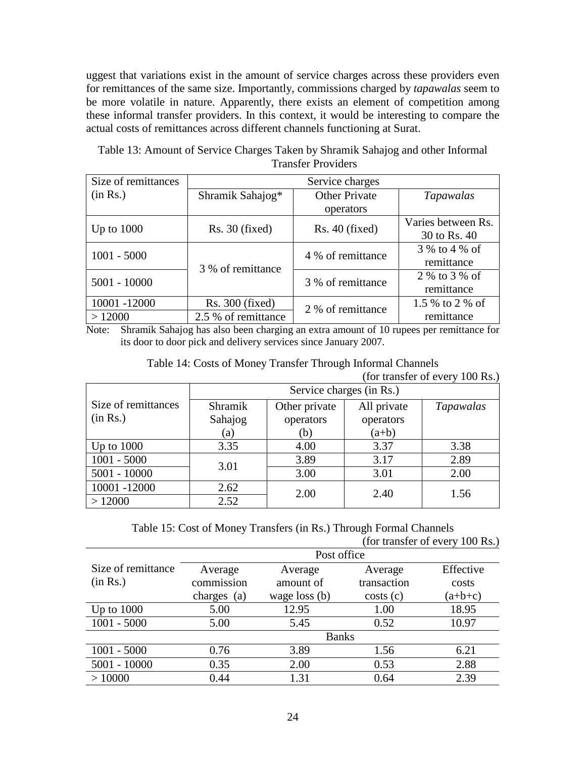uggest that variations exist in the amount of service charges across these providers even for remittances of the same size. Importantly, commissions charged by *tapawalas* seem to be more volatile in nature. Apparently, there exists an element of competition among these informal transfer providers. In this context, it would be interesting to compare the actual costs of remittances across different channels functioning at Surat.

| Table 13: Amount of Service Charges Taken by Shramik Sahajog and other Informal |
|---------------------------------------------------------------------------------|
| <b>Transfer Providers</b>                                                       |

| Size of remittances | Service charges     |                      |                    |
|---------------------|---------------------|----------------------|--------------------|
| (in Rs.)            | Shramik Sahajog*    | <b>Other Private</b> | <i>Tapawalas</i>   |
|                     |                     | operators            |                    |
| Up to $1000$        | $Rs. 30$ (fixed)    | $Rs. 40$ (fixed)     | Varies between Rs. |
|                     |                     |                      | 30 to Rs. 40       |
| $1001 - 5000$       |                     | 4 % of remittance    | 3 % to 4 % of      |
|                     | 3 % of remittance   |                      | remittance         |
| $5001 - 10000$      |                     | 3 % of remittance    | 2 % to 3 % of      |
|                     |                     |                      | remittance         |
| 10001 -12000        | $Rs. 300$ (fixed)   | 2 % of remittance    | 1.5 % to 2 % of    |
| >12000              | 2.5 % of remittance |                      | remittance         |

Note: Shramik Sahajog has also been charging an extra amount of 10 rupees per remittance for its door to door pick and delivery services since January 2007.

| Table 14: Costs of Money Transfer Through Informal Channels |  |
|-------------------------------------------------------------|--|
| (for transfer of every 100 Rs.)                             |  |

|                     | Service charges (in Rs.) |               |             |           |
|---------------------|--------------------------|---------------|-------------|-----------|
| Size of remittances | Shramik                  | Other private | All private | Tapawalas |
| (in Rs.)            | Sahajog                  | operators     | operators   |           |
|                     | (a)                      | (b)           | $(a+b)$     |           |
| Up to $1000$        | 3.35                     | 4.00          | 3.37        | 3.38      |
| $1001 - 5000$       | 3.01                     | 3.89          | 3.17        | 2.89      |
| $5001 - 10000$      |                          | 3.00          | 3.01        | 2.00      |
| 10001-12000         | 2.62                     | 2.00          | 2.40        | 1.56      |
| >12000              | 2.52                     |               |             |           |

Table 15: Cost of Money Transfers (in Rs.) Through Formal Channels

| ຼ |                                 |  |  |  |
|---|---------------------------------|--|--|--|
|   | (for transfer of every 100 Rs.) |  |  |  |

|                    | Post office |                 |             |           |
|--------------------|-------------|-----------------|-------------|-----------|
| Size of remittance | Average     | Average         | Average     | Effective |
| (in Rs.)           | commission  | amount of       | transaction | costs     |
|                    | charges (a) | wage loss $(b)$ | costs(c)    | $(a+b+c)$ |
| Up to $1000$       | 5.00        | 12.95           | 1.00        | 18.95     |
| $1001 - 5000$      | 5.00        | 5.45            | 0.52        | 10.97     |
|                    |             | <b>Banks</b>    |             |           |
| $1001 - 5000$      | 0.76        | 3.89            | 1.56        | 6.21      |
| $5001 - 10000$     | 0.35        | 2.00            | 0.53        | 2.88      |
| >10000             | 0.44        | 1.31            | 0.64        | 2.39      |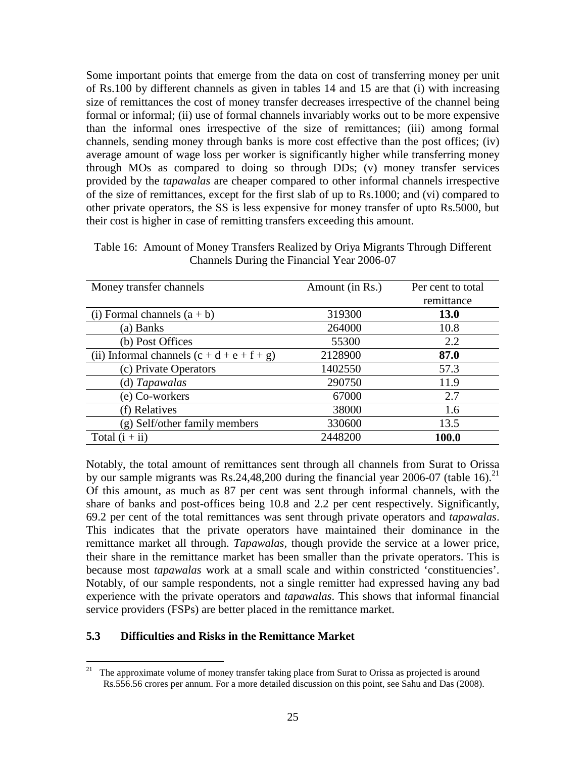Some important points that emerge from the data on cost of transferring money per unit of Rs.100 by different channels as given in tables 14 and 15 are that (i) with increasing size of remittances the cost of money transfer decreases irrespective of the channel being formal or informal; (ii) use of formal channels invariably works out to be more expensive than the informal ones irrespective of the size of remittances; (iii) among formal channels, sending money through banks is more cost effective than the post offices; (iv) average amount of wage loss per worker is significantly higher while transferring money through MOs as compared to doing so through DDs; (v) money transfer services provided by the *tapawalas* are cheaper compared to other informal channels irrespective of the size of remittances, except for the first slab of up to Rs.1000; and (vi) compared to other private operators, the SS is less expensive for money transfer of upto Rs.5000, but their cost is higher in case of remitting transfers exceeding this amount.

Table 16: Amount of Money Transfers Realized by Oriya Migrants Through Different Channels During the Financial Year 2006-07

| Money transfer channels                      | Amount (in Rs.) | Per cent to total |
|----------------------------------------------|-----------------|-------------------|
|                                              |                 | remittance        |
| (i) Formal channels $(a + b)$                | 319300          | <b>13.0</b>       |
| (a) Banks                                    | 264000          | 10.8              |
| (b) Post Offices                             | 55300           | 2.2               |
| (ii) Informal channels $(c + d + e + f + g)$ | 2128900         | 87.0              |
| (c) Private Operators                        | 1402550         | 57.3              |
| (d) Tapawalas                                | 290750          | 11.9              |
| (e) Co-workers                               | 67000           | 2.7               |
| (f) Relatives                                | 38000           | 1.6               |
| (g) Self/other family members                | 330600          | 13.5              |
| Total $(i + ii)$                             | 2448200         | 100.0             |

Notably, the total amount of remittances sent through all channels from Surat to Orissa by our sample migrants was Rs.24,48,200 during the financial year 2006-07 (table 16).<sup>21</sup> Of this amount, as much as 87 per cent was sent through informal channels, with the share of banks and post-offices being 10.8 and 2.2 per cent respectively. Significantly, 69.2 per cent of the total remittances was sent through private operators and *tapawalas*. This indicates that the private operators have maintained their dominance in the remittance market all through. *Tapawalas,* though provide the service at a lower price, their share in the remittance market has been smaller than the private operators. This is because most *tapawalas* work at a small scale and within constricted 'constituencies'. Notably, of our sample respondents, not a single remitter had expressed having any bad experience with the private operators and *tapawalas*. This shows that informal financial service providers (FSPs) are better placed in the remittance market.

#### **5.3 Difficulties and Risks in the Remittance Market**

<sup>&</sup>lt;sup>21</sup> The approximate volume of money transfer taking place from Surat to Orissa as projected is around Rs.556.56 crores per annum. For a more detailed discussion on this point, see Sahu and Das (2008).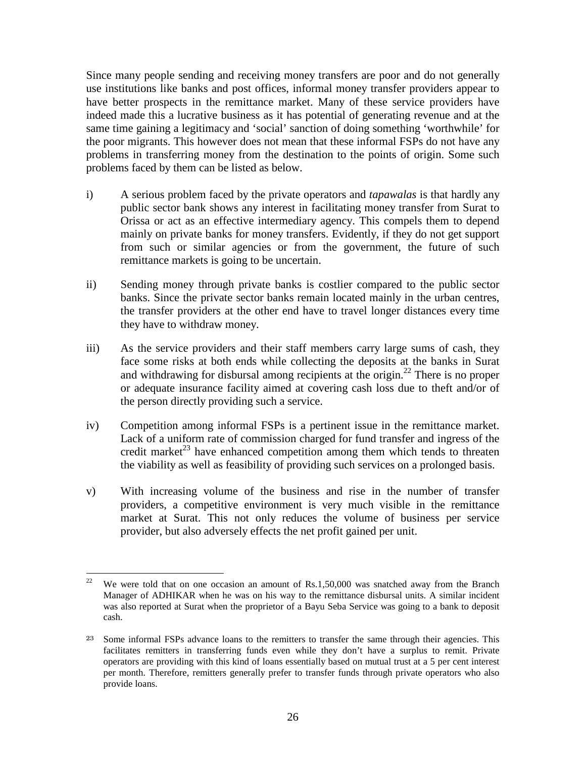Since many people sending and receiving money transfers are poor and do not generally use institutions like banks and post offices, informal money transfer providers appear to have better prospects in the remittance market. Many of these service providers have indeed made this a lucrative business as it has potential of generating revenue and at the same time gaining a legitimacy and 'social' sanction of doing something 'worthwhile' for the poor migrants. This however does not mean that these informal FSPs do not have any problems in transferring money from the destination to the points of origin. Some such problems faced by them can be listed as below.

- i) A serious problem faced by the private operators and *tapawalas* is that hardly any public sector bank shows any interest in facilitating money transfer from Surat to Orissa or act as an effective intermediary agency. This compels them to depend mainly on private banks for money transfers. Evidently, if they do not get support from such or similar agencies or from the government, the future of such remittance markets is going to be uncertain.
- ii) Sending money through private banks is costlier compared to the public sector banks. Since the private sector banks remain located mainly in the urban centres, the transfer providers at the other end have to travel longer distances every time they have to withdraw money.
- iii) As the service providers and their staff members carry large sums of cash, they face some risks at both ends while collecting the deposits at the banks in Surat and withdrawing for disbursal among recipients at the origin.<sup>22</sup> There is no proper or adequate insurance facility aimed at covering cash loss due to theft and/or of the person directly providing such a service.
- iv) Competition among informal FSPs is a pertinent issue in the remittance market. Lack of a uniform rate of commission charged for fund transfer and ingress of the credit market<sup>23</sup> have enhanced competition among them which tends to threaten the viability as well as feasibility of providing such services on a prolonged basis.
- v) With increasing volume of the business and rise in the number of transfer providers, a competitive environment is very much visible in the remittance market at Surat. This not only reduces the volume of business per service provider, but also adversely effects the net profit gained per unit.

 $\frac{1}{22}$  We were told that on one occasion an amount of Rs.1,50,000 was snatched away from the Branch Manager of ADHIKAR when he was on his way to the remittance disbursal units. A similar incident was also reported at Surat when the proprietor of a Bayu Seba Service was going to a bank to deposit cash.

<sup>23</sup> Some informal FSPs advance loans to the remitters to transfer the same through their agencies. This facilitates remitters in transferring funds even while they don't have a surplus to remit. Private operators are providing with this kind of loans essentially based on mutual trust at a 5 per cent interest per month. Therefore, remitters generally prefer to transfer funds through private operators who also provide loans.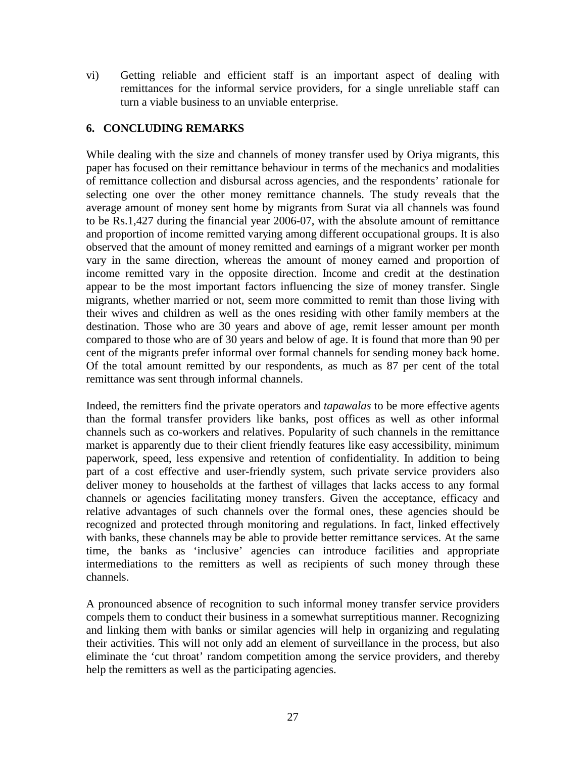vi) Getting reliable and efficient staff is an important aspect of dealing with remittances for the informal service providers, for a single unreliable staff can turn a viable business to an unviable enterprise.

### **6. CONCLUDING REMARKS**

While dealing with the size and channels of money transfer used by Oriya migrants, this paper has focused on their remittance behaviour in terms of the mechanics and modalities of remittance collection and disbursal across agencies, and the respondents' rationale for selecting one over the other money remittance channels. The study reveals that the average amount of money sent home by migrants from Surat via all channels was found to be Rs.1,427 during the financial year 2006-07, with the absolute amount of remittance and proportion of income remitted varying among different occupational groups. It is also observed that the amount of money remitted and earnings of a migrant worker per month vary in the same direction, whereas the amount of money earned and proportion of income remitted vary in the opposite direction. Income and credit at the destination appear to be the most important factors influencing the size of money transfer. Single migrants, whether married or not, seem more committed to remit than those living with their wives and children as well as the ones residing with other family members at the destination. Those who are 30 years and above of age, remit lesser amount per month compared to those who are of 30 years and below of age. It is found that more than 90 per cent of the migrants prefer informal over formal channels for sending money back home. Of the total amount remitted by our respondents, as much as 87 per cent of the total remittance was sent through informal channels.

Indeed, the remitters find the private operators and *tapawalas* to be more effective agents than the formal transfer providers like banks, post offices as well as other informal channels such as co-workers and relatives. Popularity of such channels in the remittance market is apparently due to their client friendly features like easy accessibility, minimum paperwork, speed, less expensive and retention of confidentiality. In addition to being part of a cost effective and user-friendly system, such private service providers also deliver money to households at the farthest of villages that lacks access to any formal channels or agencies facilitating money transfers. Given the acceptance, efficacy and relative advantages of such channels over the formal ones, these agencies should be recognized and protected through monitoring and regulations. In fact, linked effectively with banks, these channels may be able to provide better remittance services. At the same time, the banks as 'inclusive' agencies can introduce facilities and appropriate intermediations to the remitters as well as recipients of such money through these channels.

A pronounced absence of recognition to such informal money transfer service providers compels them to conduct their business in a somewhat surreptitious manner. Recognizing and linking them with banks or similar agencies will help in organizing and regulating their activities. This will not only add an element of surveillance in the process, but also eliminate the 'cut throat' random competition among the service providers, and thereby help the remitters as well as the participating agencies.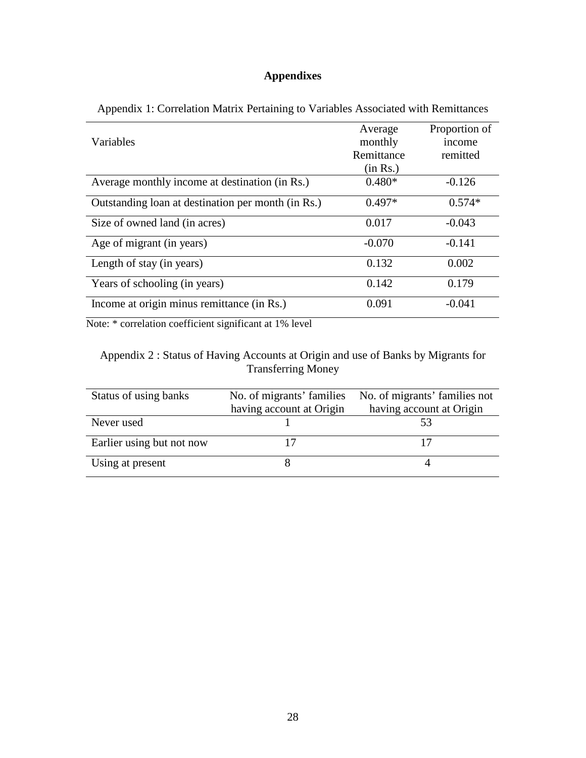# **Appendixes**

|                                                    | Average    | Proportion of |
|----------------------------------------------------|------------|---------------|
| Variables                                          | monthly    | income        |
|                                                    | Remittance | remitted      |
|                                                    | (in Rs.)   |               |
| Average monthly income at destination (in Rs.)     | $0.480*$   | $-0.126$      |
| Outstanding loan at destination per month (in Rs.) | $0.497*$   | $0.574*$      |
| Size of owned land (in acres)                      | 0.017      | $-0.043$      |
| Age of migrant (in years)                          | $-0.070$   | $-0.141$      |
| Length of stay (in years)                          | 0.132      | 0.002         |
| Years of schooling (in years)                      | 0.142      | 0.179         |
| Income at origin minus remittance (in Rs.)         | 0.091      | $-0.041$      |

Appendix 1: Correlation Matrix Pertaining to Variables Associated with Remittances

Note: \* correlation coefficient significant at 1% level

## Appendix 2 : Status of Having Accounts at Origin and use of Banks by Migrants for Transferring Money

| Status of using banks     | No. of migrants' families | No. of migrants' families not |
|---------------------------|---------------------------|-------------------------------|
|                           | having account at Origin  | having account at Origin      |
| Never used                |                           |                               |
| Earlier using but not now |                           |                               |
| Using at present          |                           |                               |